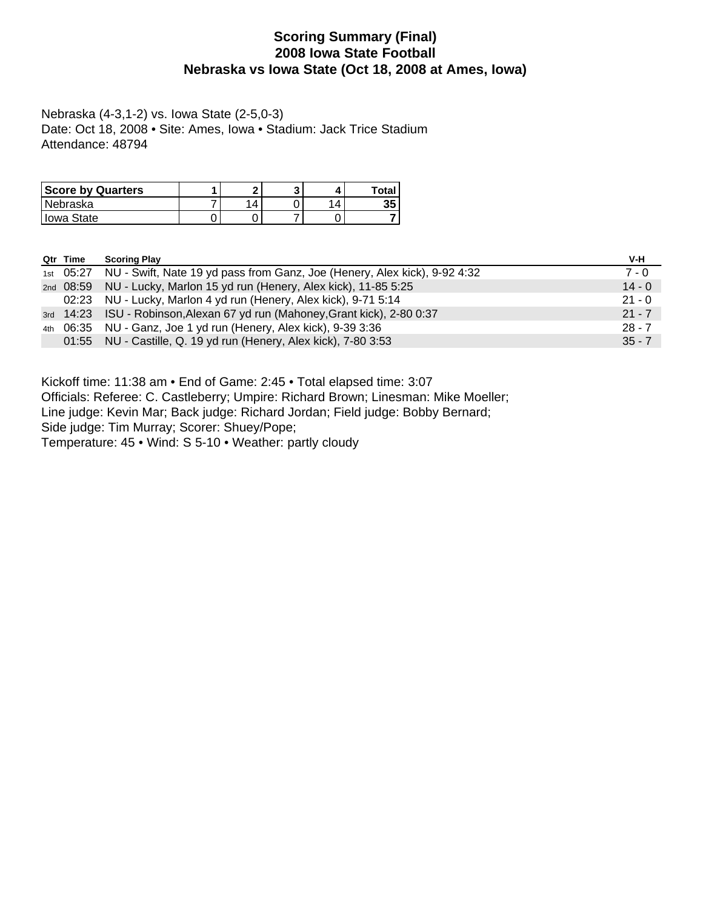### **Scoring Summary (Final) 2008 Iowa State Football Nebraska vs Iowa State (Oct 18, 2008 at Ames, Iowa)**

Nebraska (4-3,1-2) vs. Iowa State (2-5,0-3) Date: Oct 18, 2008 • Site: Ames, Iowa • Stadium: Jack Trice Stadium Attendance: 48794

| <b>Score by Quarters</b> | ິ |   | Total |
|--------------------------|---|---|-------|
| l Nebraska               | Δ | Δ | 35    |
| l Iowa State             |   |   |       |

| Qtr Time | <b>Scoring Play</b>                                                                 | V-H      |
|----------|-------------------------------------------------------------------------------------|----------|
|          | 1st 05:27 NU - Swift, Nate 19 yd pass from Ganz, Joe (Henery, Alex kick), 9-92 4:32 | $7 - 0$  |
|          | 2nd 08:59 NU - Lucky, Marlon 15 yd run (Henery, Alex kick), 11-85 5:25              | $14 - 0$ |
|          | 02:23 NU - Lucky, Marlon 4 yd run (Henery, Alex kick), 9-71 5:14                    | $21 - 0$ |
|          | 3rd 14:23 ISU - Robinson, Alexan 67 yd run (Mahoney, Grant kick), 2-80 0:37         | $21 - 7$ |
|          | 4th 06:35 NU - Ganz, Joe 1 yd run (Henery, Alex kick), 9-39 3:36                    | $28 - 7$ |
|          | 01:55 NU - Castille, Q. 19 yd run (Henery, Alex kick), 7-80 3:53                    | $35 - 7$ |

Kickoff time: 11:38 am • End of Game: 2:45 • Total elapsed time: 3:07

Officials: Referee: C. Castleberry; Umpire: Richard Brown; Linesman: Mike Moeller;

Line judge: Kevin Mar; Back judge: Richard Jordan; Field judge: Bobby Bernard;

Side judge: Tim Murray; Scorer: Shuey/Pope;

Temperature: 45 • Wind: S 5-10 • Weather: partly cloudy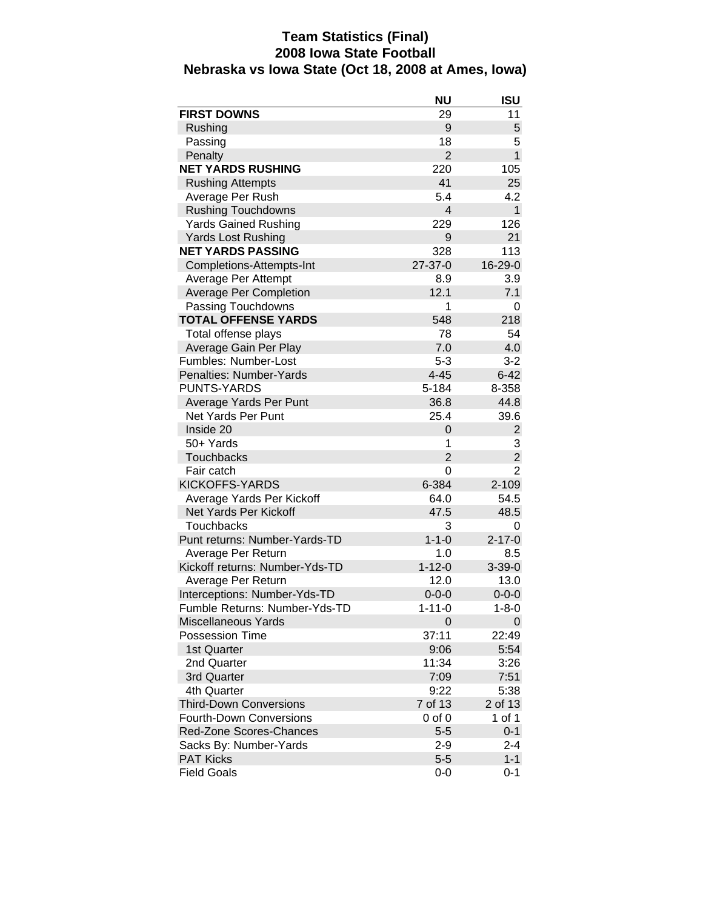### **Team Statistics (Final) 2008 Iowa State Football Nebraska vs Iowa State (Oct 18, 2008 at Ames, Iowa)**

|                                | <b>NU</b>      | ISU            |
|--------------------------------|----------------|----------------|
| <b>FIRST DOWNS</b>             | 29             | 11             |
| Rushing                        | 9              | 5              |
| Passing                        | 18             | 5              |
| Penalty                        | $\overline{2}$ | $\mathbf{1}$   |
| <b>NET YARDS RUSHING</b>       | 220            | 105            |
| <b>Rushing Attempts</b>        | 41             | 25             |
| Average Per Rush               | 5.4            | 4.2            |
| <b>Rushing Touchdowns</b>      | 4              | $\mathbf{1}$   |
| <b>Yards Gained Rushing</b>    | 229            | 126            |
| <b>Yards Lost Rushing</b>      | 9              | 21             |
| <b>NET YARDS PASSING</b>       | 328            | 113            |
| Completions-Attempts-Int       | $27 - 37 - 0$  | 16-29-0        |
| Average Per Attempt            | 8.9            | 3.9            |
| <b>Average Per Completion</b>  | 12.1           | 7.1            |
| Passing Touchdowns             | 1              | 0              |
| <b>TOTAL OFFENSE YARDS</b>     | 548            | 218            |
| Total offense plays            | 78             | 54             |
| Average Gain Per Play          | 7.0            | 4.0            |
| Fumbles: Number-Lost           | $5 - 3$        | $3 - 2$        |
| Penalties: Number-Yards        | $4 - 45$       | $6 - 42$       |
| <b>PUNTS-YARDS</b>             | 5-184          | 8-358          |
| Average Yards Per Punt         | 36.8           | 44.8           |
| <b>Net Yards Per Punt</b>      | 25.4           | 39.6           |
| Inside 20                      | 0              | $\overline{2}$ |
| 50+ Yards                      | 1              | 3              |
| <b>Touchbacks</b>              | $\overline{2}$ | $\overline{c}$ |
| Fair catch                     | $\mathbf 0$    | $\overline{2}$ |
| <b>KICKOFFS-YARDS</b>          | 6-384          | $2 - 109$      |
| Average Yards Per Kickoff      | 64.0           | 54.5           |
| Net Yards Per Kickoff          | 47.5           | 48.5           |
| Touchbacks                     | 3              | 0              |
| Punt returns: Number-Yards-TD  | $1 - 1 - 0$    | $2 - 17 - 0$   |
| Average Per Return             | 1.0            | 8.5            |
| Kickoff returns: Number-Yds-TD | $1 - 12 - 0$   | $3 - 39 - 0$   |
| Average Per Return             | 12.0           | 13.0           |
| Interceptions: Number-Yds-TD   | $0 - 0 - 0$    | $0 - 0 - 0$    |
| Fumble Returns: Number-Yds-TD  | 1-11-0         | 1-8-0          |
| Miscellaneous Yards            | 0              | 0              |
| <b>Possession Time</b>         | 37:11          | 22:49          |
| 1st Quarter                    | 9:06           | 5:54           |
| 2nd Quarter                    | 11:34          | 3:26           |
| 3rd Quarter                    | 7:09           | 7:51           |
| 4th Quarter                    | 9:22           | 5:38           |
| <b>Third-Down Conversions</b>  | 7 of 13        | 2 of 13        |
| <b>Fourth-Down Conversions</b> | 0 of 0         | 1 of 1         |
| <b>Red-Zone Scores-Chances</b> | $5 - 5$        | $0 - 1$        |
| Sacks By: Number-Yards         | $2 - 9$        | $2 - 4$        |
| <b>PAT Kicks</b>               | $5 - 5$        | $1 - 1$        |
| <b>Field Goals</b>             | $0-0$          | $0 - 1$        |
|                                |                |                |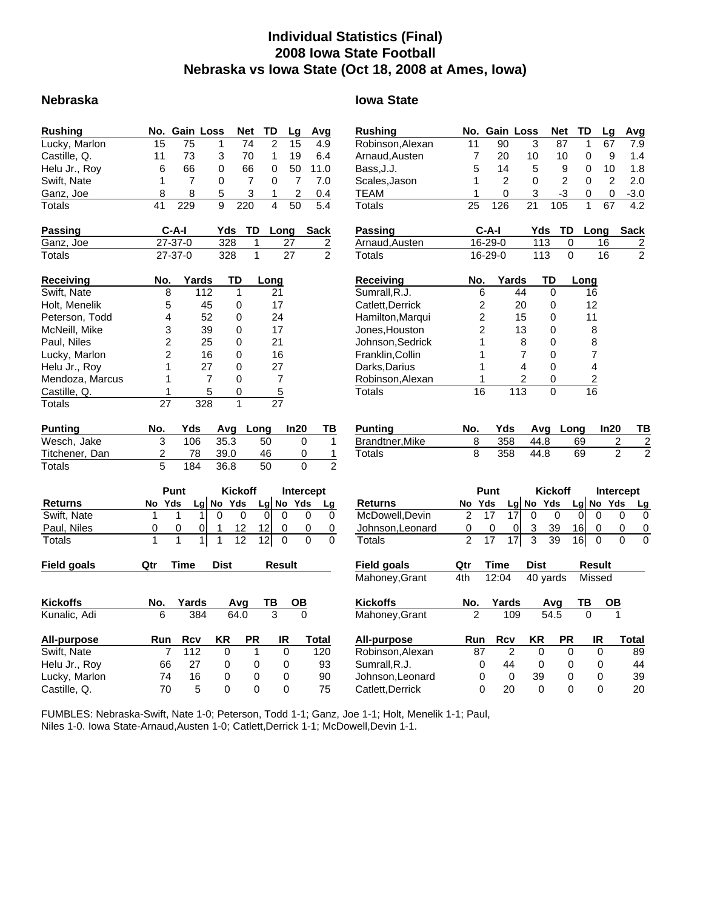### **Individual Statistics (Final) 2008 Iowa State Football Nebraska vs Iowa State (Oct 18, 2008 at Ames, Iowa)**

#### **Nebraska Iowa State**

| <b>Rushing</b>  |                | No. Gain Loss     |                | <b>Net</b><br>TD           | Lg             | Avg                        | <b>Rushing</b>   |                | No. Gain Loss  |                                 | <b>Net</b>     | TD            | L)             |
|-----------------|----------------|-------------------|----------------|----------------------------|----------------|----------------------------|------------------|----------------|----------------|---------------------------------|----------------|---------------|----------------|
| Lucky, Marlon   | 15             | 75                | 1              | $\overline{c}$<br>74       | 15             | 4.9                        | Robinson, Alexan | 11             | 90             | 3                               | 87             | 1             | $6^{\circ}$    |
| Castille, Q.    | 11             | 73                | 3              | 70<br>1                    | 19             | 6.4                        | Arnaud, Austen   | 7              | 20             | 10                              | 10             | $\pmb{0}$     |                |
| Helu Jr., Roy   | 6              | 66                | 0              | 66<br>0                    | 50             | 11.0                       | Bass, J.J.       | 5              | 14             | 5                               | 9              | 0             | 1 <sub>1</sub> |
| Swift, Nate     | 1              | $\overline{7}$    | 0              | 0<br>7                     | $\overline{7}$ | 7.0                        | Scales, Jason    | 1              | $\overline{2}$ | 0                               | $\overline{c}$ | $\mathbf 0$   |                |
| Ganz, Joe       | 8              | 8                 | 5              | 3<br>1                     | 2              | 0.4                        | <b>TEAM</b>      | 1              | 0              | 3                               | $-3$           | 0             |                |
| Totals          | 41             | 229               | 9              | $\overline{4}$<br>220      | 50             | 5.4                        | <b>Totals</b>    | 25             | 126            | 21                              | 105            | $\mathbf{1}$  | $6^{\circ}$    |
| <b>Passing</b>  |                | C-A-I             | Yds            | TD                         | Long           | <b>Sack</b>                | <b>Passing</b>   |                | $C-A-I$        | Yds                             | TD             |               | Long           |
| Ganz, Joe       |                | 27-37-0           | 328            | 1                          | 27             | $\overline{2}$             | Arnaud, Austen   |                | 16-29-0        | 113                             | 0              |               | 16             |
| Totals          |                | 27-37-0           | 328            | $\mathbf{1}$               | 27             | $\overline{2}$             | Totals           |                | 16-29-0        | 113                             | $\Omega$       |               | 16             |
| Receiving       | No.            | Yards             | TD             | Long                       |                |                            | <b>Receiving</b> | No.            | Yards          |                                 | TD             | Long          |                |
| Swift, Nate     | 8              | 112               | 1              |                            | 21             |                            | Sumrall, R.J.    |                | 6              | 44                              | 0              | 16            |                |
| Holt, Menelik   | 5              | 45                | 0              |                            | 17             |                            | Catlett, Derrick |                | 2              | 20                              | 0              | 12            |                |
| Peterson, Todd  | 4              | 52                | 0              |                            | 24             |                            | Hamilton, Marqui |                | 2              | 15                              | 0              | 11            |                |
| McNeill, Mike   | 3              | 39                | 0              |                            | 17             |                            | Jones, Houston   |                | 2              | 13                              | 0              | 8             |                |
| Paul, Niles     | 2              | 25                | 0              |                            | 21             |                            | Johnson, Sedrick |                | 1              | 8                               | 0              | 8             |                |
| Lucky, Marlon   | 2              | 16                | 0              |                            | 16             |                            | Franklin, Collin |                | 1              | $\overline{7}$                  | 0              |               | $\overline{7}$ |
| Helu Jr., Roy   | 1              | 27                | 0              |                            | 27             |                            | Darks, Darius    |                | 1              | 4                               | 0              |               | 4              |
| Mendoza, Marcus | 1              | $\overline{7}$    | 0              |                            | $\overline{7}$ |                            | Robinson, Alexan |                | 1              | $\overline{2}$                  | 0              |               | $\overline{2}$ |
| Castille, Q.    | 1              | 5                 | 0              |                            | $\overline{5}$ |                            | Totals           | 16             |                | 113                             | 0              | 16            |                |
| Totals          | 27             | 328               | $\mathbf{1}$   |                            | 27             |                            |                  |                |                |                                 |                |               |                |
| Punting         | No.            | Yds               | Avg            | Long                       | In20           | ΤВ                         | <b>Punting</b>   | No.            | Yds            | Avg                             | Long           |               | In:            |
| Wesch, Jake     | $\mathbf{3}$   | 106               | 35.3           | 50                         |                | 0<br>1                     | Brandtner, Mike  | 8              | 358            | 44.8                            |                | 69            |                |
| Titchener, Dan  | 2              | 78                | 39.0           | 46                         |                | 0<br>1                     | <b>Totals</b>    | 8              | 358            | 44.8                            |                | 69            |                |
| Totals          | 5              | 184               | 36.8           | 50                         |                | $\mathfrak{p}$<br>$\Omega$ |                  |                |                |                                 |                |               |                |
|                 |                | Punt              | <b>Kickoff</b> |                            |                | Intercept                  |                  |                | Punt           |                                 | <b>Kickoff</b> |               | <b>Int</b>     |
| <b>Returns</b>  | Yds<br>No      |                   | Lg No Yds      | Lg                         | No Yds         | Lg                         | <b>Returns</b>   | No Yds         |                | No Yds<br>Lg                    |                | <u>Lg  No</u> |                |
| Swift, Nate     | $\mathbf{1}$   | $\mathbf{1}$<br>1 | 0              | $\mathbf 0$<br>$\mathbf 0$ | 0              | $\mathbf 0$<br>0           | McDowell, Devin  | 2              | 17             | 17<br>$\mathbf 0$               | 0              | $\Omega$      | $\Omega$       |
| Paul, Niles     | 0              | 0<br>0            | 12<br>1        | 12                         | 0              | 0<br>0                     | Johnson, Leonard | 0              | 0              | 3<br>0                          | 39             | 16            | 0              |
| Totals          | 1              | 1<br>1            | 1<br>12        | 12                         | 0              | $\Omega$<br>$\Omega$       | Totals           | $\mathfrak{p}$ | 17             | $\overline{\overline{3}}$<br>17 | 39             | 16            | $\Omega$       |
| Field goals     | Qtr            | <b>Time</b>       | <b>Dist</b>    |                            | <b>Result</b>  |                            | Field goals      | Qtr            | <b>Time</b>    | Dist                            |                |               | <b>Result</b>  |
|                 |                |                   |                |                            |                |                            | Mahoney, Grant   | 4th            | 12:04          | 40 yards                        |                |               | Missec         |
| <b>Kickoffs</b> | No.            | Yards             | Avg            | ΤВ                         | O <sub>B</sub> |                            | <b>Kickoffs</b>  | No.            | Yards          |                                 | Avg            | ΤВ            |                |
| Kunalic, Adi    | 6              | 384               | 64.0           | 3                          |                | $\mathbf{0}$               | Mahoney, Grant   | $\overline{2}$ | 109            |                                 | 54.5           | $\mathbf{0}$  |                |
| All-purpose     | Run            | <b>Rcv</b>        | ΚR             | <b>PR</b>                  | IR             | <b>Total</b>               | All-purpose      | Run            | <b>Rcv</b>     | <b>KR</b>                       | <b>PR</b>      |               | IR             |
| Swift, Nate     | $\overline{7}$ | 112               | 0              | $\mathbf{1}$               | 0              | 120                        | Robinson, Alexan | 87             | $\overline{2}$ | 0                               | 0              |               | 0              |
| Helu Jr., Roy   | 66             | 27                | 0              | 0                          | 0              | 93                         | Sumrall, R.J.    |                | 0<br>44        | 0                               | 0              |               | $\pmb{0}$      |
| Lucky, Marlon   | 74             | 16                | 0              | 0                          | 0              | 90                         | Johnson, Leonard |                | 0<br>0         | 39                              | 0              |               | 0              |
| Castille, Q.    | 70             | 5                 | $\Omega$       | 0                          | 0              | 75                         | Catlett, Derrick |                | $\Omega$<br>20 | $\Omega$                        | $\Omega$       |               | $\Omega$       |

| Rushing            | No.            | <b>Gain Loss</b> |                                  | Net             | TD       | Lg             | Avg                              |
|--------------------|----------------|------------------|----------------------------------|-----------------|----------|----------------|----------------------------------|
| Robinson, Alexan   | 11             | 90               | 3                                | 87              | 1        | 67             | 7.9                              |
| Arnaud, Austen     | 7              | 20               | 10                               | 10              | 0        | 9              | 1.4                              |
| Bass, J.J.         | 5              | 14               | 5                                | 9               | 0        | 10             | 1.8                              |
| Scales, Jason      | 1              | 2                | 0                                | $\overline{2}$  | 0        | 2              | 2.0                              |
| <b>TEAM</b>        | 1              | 0                | 3                                | $-3$            | 0        | 0              | $-3.0$                           |
| Totals             | 25             | 126              | 21                               | 105             | 1        | 67             | 4.2                              |
| Passing            |                | $C-A-I$          |                                  | Yds<br>TD       |          | Long           | Sack                             |
| Arnaud, Austen     |                | 16-29-0          |                                  | 113             | 0        | 16             |                                  |
| <b>Totals</b>      |                | 16-29-0          |                                  | 113             | 0        | 16             | $\frac{2}{2}$                    |
| Receiving          | No.            |                  | Yards                            | TD              | Long     |                |                                  |
| Sumrall, R.J.      |                | 6                | 44                               | 0               | 16       |                |                                  |
| Catlett, Derrick   |                | 2                | 20                               | 0               | 12       |                |                                  |
| Hamilton, Marqui   |                | $\overline{2}$   | 15                               | 0               | 11       |                |                                  |
| Jones, Houston     |                | $\overline{2}$   | 13                               | 0               |          | 8              |                                  |
| Johnson, Sedrick   |                | 1                | 8                                | 0               |          | 8              |                                  |
| Franklin, Collin   |                | 1                | $\overline{7}$                   | 0               |          | 7              |                                  |
| Darks, Darius      |                | 1                | 4                                | 0               |          | 4              |                                  |
| Robinson, Alexan   |                | 1                | $\overline{c}$                   | 0               |          | $\overline{2}$ |                                  |
| Totals             | 16             |                  | 113                              | 0               | 16       |                |                                  |
|                    |                |                  |                                  |                 |          |                |                                  |
| <b>Punting</b>     | No.            | Yds              |                                  | Avg             | Long     | ln20           | тв                               |
| Brandtner, Mike    | 8              | 358              | 44.8                             |                 | 69       |                | 2<br>$\overline{c}$              |
| Totals             | 8              | 358              | 44.8                             |                 | 69       |                | $\overline{2}$<br>$\overline{2}$ |
|                    |                |                  |                                  |                 |          |                |                                  |
|                    |                |                  |                                  |                 |          |                |                                  |
|                    |                | Punt             |                                  | <b>Kickoff</b>  |          |                | <b>Intercept</b>                 |
| Returns            | No             | Yds              | Lg No Yds                        |                 | Lg No    | Yds            | Lg                               |
| McDowell, Devin    | $\overline{2}$ | 17               | 17<br>0                          | 0               | 0        | 0              | 0<br>0                           |
| Johnson, Leonard   | 0              |                  | $\overline{3}$<br>0              | $\frac{39}{39}$ | 16       | 0              | 0<br>0                           |
| Totals             |                | 17               | $\overline{\overline{3}}$<br>171 |                 | 16       | 0              | 0                                |
| <b>Field goals</b> | Qtr            | Time             | Dist                             |                 |          | Result         |                                  |
| Mahoney, Grant     | 4th            | 12:04            |                                  | 40 yards        |          | Missed         |                                  |
| <b>Kickoffs</b>    | <u>No.</u>     | Yards            |                                  | Avg             | ΤВ       |                |                                  |
| Mahoney, Grant     | 2              |                  | 109                              | 54.5            | $\Omega$ |                |                                  |
| <b>All-purpose</b> | Run            | Rcv              | ΚR                               | PR              |          | IR             | Total                            |
| Robinson, Alexan   | 87             |                  | $\overline{2}$                   | 0               | 0        | 0              | 89                               |
| Sumrall, R.J.      |                | 44<br>0          |                                  | 0               | 0        | 0              | 44                               |
| Johnson, Leonard   |                | 0                | 39<br>0                          |                 | 0        | 0              | 39                               |
|                    |                |                  |                                  |                 |          |                |                                  |

FUMBLES: Nebraska-Swift, Nate 1-0; Peterson, Todd 1-1; Ganz, Joe 1-1; Holt, Menelik 1-1; Paul, Niles 1-0. Iowa State-Arnaud,Austen 1-0; Catlett,Derrick 1-1; McDowell,Devin 1-1.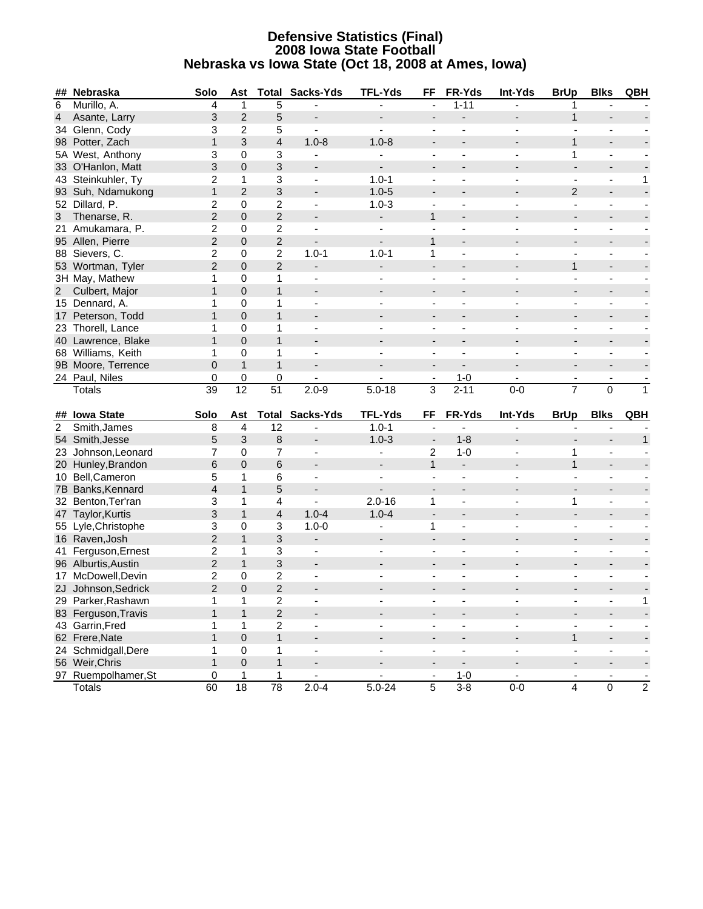#### **Defensive Statistics (Final) 2008 Iowa State Football Nebraska vs Iowa State (Oct 18, 2008 at Ames, Iowa)**

|                | ## Nebraska                          | Solo                           | Ast                  | <b>Total</b>         | Sacks-Yds                    | <b>TFL-Yds</b>               | FF                           | FR-Yds                   | Int-Yds                   | <b>BrUp</b>              | <b>Blks</b>              | QBH                      |
|----------------|--------------------------------------|--------------------------------|----------------------|----------------------|------------------------------|------------------------------|------------------------------|--------------------------|---------------------------|--------------------------|--------------------------|--------------------------|
| 6              | Murillo, A.                          | 4                              | 1                    | 5                    |                              |                              |                              | $1 - 11$                 |                           | 1                        |                          |                          |
| $\overline{4}$ | Asante, Larry                        | 3                              | $\overline{2}$       | 5                    | $\overline{\phantom{m}}$     |                              |                              |                          |                           | $\mathbf{1}$             |                          |                          |
|                | 34 Glenn, Cody                       | 3                              | 2                    | 5                    | $\blacksquare$               | $\blacksquare$               | $\blacksquare$               | ÷,                       |                           | ÷,                       | $\blacksquare$           |                          |
|                | 98 Potter, Zach                      | $\mathbf{1}$                   | 3                    | $\overline{4}$       | $1.0 - 8$                    | $1.0 - 8$                    | $\blacksquare$               |                          |                           | $\mathbf{1}$             | $\overline{\phantom{a}}$ |                          |
|                | 5A West, Anthony                     | 3                              | 0                    | 3                    |                              |                              |                              |                          |                           | 1                        | $\blacksquare$           |                          |
|                | 33 O'Hanlon, Matt                    | 3                              | $\mathbf{0}$         | 3                    |                              |                              |                              |                          |                           | $\overline{\phantom{0}}$ | $\overline{\phantom{a}}$ |                          |
|                | 43 Steinkuhler, Ty                   | 2                              | 1                    | 3                    | $\blacksquare$               | $1.0 - 1$                    | ä,                           | $\blacksquare$           |                           | ÷,                       | $\blacksquare$           | 1                        |
|                | 93 Suh, Ndamukong                    | 1                              | $\overline{2}$       | 3                    | $\overline{\phantom{a}}$     | $1.0 - 5$                    | $\overline{\phantom{a}}$     |                          |                           | 2                        | $\blacksquare$           |                          |
|                | 52 Dillard, P.                       | 2                              | $\mathbf 0$          | $\overline{c}$       | ä,                           | $1.0 - 3$                    |                              |                          |                           | ä,                       | $\blacksquare$           |                          |
| $\mathbf{3}$   | Thenarse, R.                         | $\overline{2}$                 | $\mathsf 0$          | $\overline{2}$       | $\overline{\phantom{a}}$     |                              | $\mathbf{1}$                 |                          |                           |                          | $\overline{\phantom{a}}$ |                          |
|                | 21 Amukamara, P.                     | $\overline{c}$                 | 0                    | $\boldsymbol{2}$     |                              |                              |                              |                          |                           | $\overline{\phantom{0}}$ | $\overline{\phantom{a}}$ |                          |
|                | 95 Allen, Pierre                     | $\overline{c}$                 | $\mathbf 0$          | $\overline{c}$       | $\blacksquare$               | $\blacksquare$               | $\mathbf{1}$                 |                          |                           |                          | $\overline{\phantom{a}}$ |                          |
|                | 88 Sievers, C.                       | $\overline{c}$                 | $\mathbf 0$          | $\overline{c}$       | $1.0 - 1$                    | $1.0 - 1$                    | 1                            | ÷,                       |                           | ä,                       | $\blacksquare$           |                          |
|                | 53 Wortman, Tyler                    | $\overline{c}$                 | $\mathbf 0$          | $\overline{2}$       | $\blacksquare$               | $\overline{\phantom{0}}$     | $\overline{\phantom{a}}$     |                          |                           | $\mathbf{1}$             | $\overline{\phantom{a}}$ |                          |
|                | 3H May, Mathew                       | $\mathbf{1}$                   | 0                    | 1                    |                              |                              |                              |                          |                           | ä,                       | -                        |                          |
|                | 2 Culbert, Major                     | $\mathbf{1}$                   | $\overline{0}$       | $\mathbf{1}$         |                              |                              | $\qquad \qquad \blacksquare$ |                          |                           | $\overline{\phantom{0}}$ | $\overline{\phantom{a}}$ |                          |
|                | 15 Dennard, A.                       | 1                              | 0                    | 1                    | ÷,                           |                              |                              | $\blacksquare$           |                           | ÷,                       | ۰.                       |                          |
|                | 17 Peterson, Todd                    | 1                              | $\mathbf 0$          | $\mathbf{1}$         |                              |                              | $\overline{\phantom{a}}$     |                          |                           |                          | $\overline{\phantom{a}}$ |                          |
|                | 23 Thorell, Lance                    | 1                              | 0                    | $\mathbf{1}$         | $\blacksquare$               |                              | $\overline{\phantom{a}}$     |                          |                           | ÷.                       | $\blacksquare$           |                          |
|                | 40 Lawrence, Blake                   | $\mathbf{1}$                   | $\mathsf 0$          | $\mathbf{1}$         | $\overline{\phantom{a}}$     |                              | $\blacksquare$               |                          |                           | $\overline{\phantom{0}}$ | $\overline{\phantom{a}}$ |                          |
|                | 68 Williams, Keith                   | 1                              | 0                    | $\mathbf{1}$         |                              |                              |                              |                          |                           | $\overline{\phantom{0}}$ | $\overline{\phantom{a}}$ |                          |
|                | 9B Moore, Terrence                   | $\boldsymbol{0}$               | $\mathbf{1}$         | $\mathbf{1}$         |                              |                              | $\blacksquare$               |                          |                           | $\overline{\phantom{0}}$ | $\overline{\phantom{a}}$ |                          |
|                | 24 Paul, Niles                       | 0                              | 0                    | 0                    | $\qquad \qquad \blacksquare$ |                              | $\overline{\phantom{a}}$     | $1 - 0$                  |                           | $\blacksquare$           | $\overline{\phantom{a}}$ |                          |
|                | <b>Totals</b>                        | 39                             | $\overline{12}$      | $\overline{51}$      | $2.0 - 9$                    | $5.0 - 18$                   | 3                            | $2 - 11$                 | $0-0$                     | $\overline{7}$           | $\overline{0}$           | $\mathbf{1}$             |
|                |                                      |                                |                      |                      |                              |                              |                              |                          |                           |                          |                          |                          |
|                | ## Iowa State                        | Solo                           | Ast                  |                      | <b>Total Sacks-Yds</b>       | <b>TFL-Yds</b>               | FF                           | FR-Yds                   | Int-Yds                   | <b>BrUp</b>              | <b>Blks</b>              | QBH                      |
| $\overline{c}$ | Smith, James                         | 8                              | $\overline{4}$       | 12                   | $\blacksquare$               | $1.0 - 1$                    | ä,                           |                          |                           |                          |                          |                          |
|                | 54 Smith, Jesse                      | 5                              | 3                    | 8                    | $\overline{\phantom{a}}$     | $1.0 - 3$                    | $\overline{\phantom{a}}$     | $1 - 8$                  |                           |                          | $\overline{\phantom{a}}$ | $\mathbf{1}$             |
|                | 23 Johnson, Leonard                  | $\overline{7}$                 | $\mathbf 0$          | $\overline{7}$       | $\blacksquare$               |                              | 2                            | $1 - 0$                  |                           | 1                        | $\blacksquare$           |                          |
|                | 20 Hunley, Brandon                   | 6                              | $\mathbf{0}$         | 6                    | $\overline{\phantom{a}}$     | $\blacksquare$               | $\mathbf{1}$                 | $\blacksquare$           |                           | $\mathbf{1}$             | $\blacksquare$           |                          |
|                | 10 Bell, Cameron                     | 5                              | 1                    | 6                    |                              |                              |                              |                          |                           |                          | $\overline{\phantom{a}}$ |                          |
|                | 7B Banks, Kennard                    | $\overline{4}$                 | $\mathbf{1}$         | 5                    | $\overline{\phantom{a}}$     | ۰                            | $\blacksquare$               |                          |                           |                          | $\overline{\phantom{a}}$ |                          |
|                | 32 Benton, Ter'ran                   | 3                              | 1                    | 4                    | $\blacksquare$               | $2.0 - 16$                   | 1                            | $\blacksquare$           |                           | 1                        | $\blacksquare$           |                          |
|                | 47 Taylor, Kurtis                    | 3                              | $\mathbf{1}$         | $\overline{4}$       | $1.0 - 4$                    | $1.0 - 4$                    | $\blacksquare$               | $\overline{a}$           |                           | ÷,                       | $\overline{\phantom{a}}$ |                          |
|                |                                      |                                |                      |                      |                              |                              |                              |                          |                           |                          |                          |                          |
|                | 55 Lyle, Christophe                  | 3                              | 0                    | 3                    | $1.0 - 0$                    |                              | 1                            |                          |                           | ä,                       | -                        |                          |
|                | 16 Raven, Josh                       | $\overline{c}$                 | $\mathbf{1}$         | 3                    | $\overline{\phantom{a}}$     | $\overline{\phantom{a}}$     | $\blacksquare$               |                          |                           | $\overline{\phantom{0}}$ | $\overline{\phantom{a}}$ |                          |
|                | 41 Ferguson, Ernest                  | 2                              | 1                    | 3                    | $\blacksquare$               |                              |                              |                          |                           |                          | ۰.                       |                          |
|                | 96 Alburtis, Austin                  | $\overline{2}$                 | $\mathbf{1}$         | 3                    | $\overline{\phantom{a}}$     |                              | $\overline{\phantom{a}}$     |                          |                           |                          | $\overline{\phantom{a}}$ |                          |
|                | 17 McDowell, Devin                   | 2                              | $\mathbf 0$          | $\overline{c}$       | $\overline{\phantom{0}}$     |                              | ä,                           |                          |                           | ä,                       | $\blacksquare$           |                          |
|                | 2J Johnson, Sedrick                  | $\overline{2}$                 | $\mathbf 0$          | $\overline{2}$       |                              |                              |                              |                          |                           |                          |                          |                          |
|                | 29 Parker, Rashawn                   | $\mathbf{1}$                   | 1                    | 2                    |                              |                              |                              |                          |                           |                          |                          | 1                        |
|                | 83 Ferguson, Travis                  | 1                              | $\mathbf{1}$         | $\sqrt{2}$           |                              |                              |                              |                          |                           |                          | $\overline{\phantom{a}}$ |                          |
|                | 43 Garrin, Fred                      | 1.                             | 1                    | $\overline{2}$       | $\blacksquare$               | $\blacksquare$               | $\overline{\phantom{a}}$     | $\overline{\phantom{a}}$ | $\blacksquare$            | $\overline{\phantom{a}}$ | $\sim$                   | $\overline{\phantom{a}}$ |
|                | 62 Frere, Nate                       | $\mathbf{1}$                   | 0                    | $\mathbf{1}$         | ۰.                           |                              |                              | $\blacksquare$           |                           | $\mathbf{1}$             | ٠                        |                          |
|                | 24 Schmidgall, Dere                  | 1                              | $\pmb{0}$            | 1                    | $\frac{1}{2}$                | $\blacksquare$               | $\overline{\phantom{a}}$     | $\frac{1}{2}$            | $\overline{\phantom{a}}$  | $\overline{\phantom{0}}$ | $\blacksquare$           | $\blacksquare$           |
|                | 56 Weir, Chris                       | $\mathbf{1}$                   | $\mathsf 0$          | $\mathbf{1}$         | $\overline{\phantom{a}}$     |                              |                              | $\overline{\phantom{a}}$ |                           | $\overline{\phantom{0}}$ | $\overline{\phantom{a}}$ | $\overline{\phantom{a}}$ |
|                | 97 Ruempolhamer, St<br><b>Totals</b> | $\mathbf 0$<br>$\overline{60}$ | 1<br>$\overline{18}$ | 1<br>$\overline{78}$ | $\frac{1}{2}$<br>$2.0 - 4$   | $\blacksquare$<br>$5.0 - 24$ | $\overline{5}$               | $1 - 0$<br>$3 - 8$       | $\blacksquare$<br>$0 - 0$ | ÷,<br>$\overline{4}$     | $\overline{0}$           | $\overline{2}$           |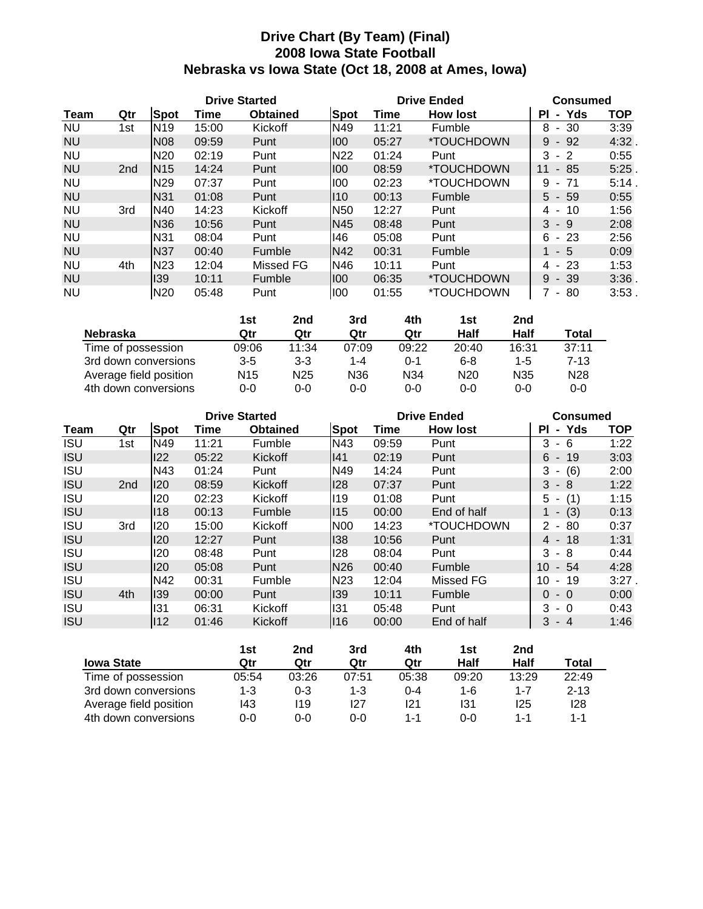### **Drive Chart (By Team) (Final) 2008 Iowa State Football Nebraska vs Iowa State (Oct 18, 2008 at Ames, Iowa)**

|           |                 |                 | <b>Drive Started</b> |                 |                 | <b>Drive Ended</b> |                          | <b>Consumed</b>           |            |  |
|-----------|-----------------|-----------------|----------------------|-----------------|-----------------|--------------------|--------------------------|---------------------------|------------|--|
| Team      | Qtr             | <b>Spot</b>     | Time                 | <b>Obtained</b> | <b>Spot</b>     | Time               | <b>How lost</b>          | - Yds<br>ΡI               | <b>TOP</b> |  |
| <b>NU</b> | 1st             | <b>N19</b>      | 15:00                | Kickoff         | N49             | 11:21              | Fumble                   | 30<br>8<br>$\sim$         | 3:39       |  |
| <b>NU</b> |                 | <b>N08</b>      | 09:59                | Punt            | 1100            | 05:27              | <i><b>*TOUCHDOWN</b></i> | 9<br>$-92$                | 4:32       |  |
| <b>NU</b> |                 | N <sub>20</sub> | 02:19                | Punt            | N <sub>22</sub> | 01:24              | Punt                     | 3<br>$-2$                 | 0:55       |  |
| <b>NU</b> | 2 <sub>nd</sub> | <b>N15</b>      | 14:24                | Punt            | 100             | 08:59              | <i><b>*TOUCHDOWN</b></i> | 11<br>85<br>$\sim$        | 5:25       |  |
| <b>NU</b> |                 | N <sub>29</sub> | 07:37                | Punt            | 100             | 02:23              | *TOUCHDOWN               | 9<br>71<br>$\blacksquare$ | 5:14       |  |
| <b>NU</b> |                 | N31             | 01:08                | Punt            | $ 110\rangle$   | 00:13              | Fumble                   | $5 -$<br>-59              | 0:55       |  |
| <b>NU</b> | 3rd             | N40             | 14:23                | Kickoff         | N <sub>50</sub> | 12:27              | Punt                     | 10<br>4<br>$\blacksquare$ | 1:56       |  |
| <b>NU</b> |                 | <b>N36</b>      | 10:56                | Punt            | N45             | 08:48              | Punt                     | 3<br>- 9                  | 2:08       |  |
| <b>NU</b> |                 | N31             | 08:04                | Punt            | 146             | 05:08              | Punt                     | 6<br>$-23$                | 2:56       |  |
| <b>NU</b> |                 | <b>N37</b>      | 00:40                | Fumble          | <b>N42</b>      | 00:31              | Fumble                   | - 5<br>1                  | 0:09       |  |
| <b>NU</b> | 4th             | N <sub>23</sub> | 12:04                | Missed FG       | N46             | 10:11              | Punt                     | $-23$<br>4                | 1:53       |  |
| <b>NU</b> |                 | 139             | 10:11                | Fumble          | 1100            | 06:35              | *TOUCHDOWN               | 9<br>$-39$                | $3:36$ .   |  |
| <b>NU</b> |                 | N <sub>20</sub> | 05:48                | Punt            | 100             | 01:55              | *TOUCHDOWN               | 80<br>$\sim$              | $3:53$ .   |  |

|                        | 1st             | 2nd             | 3rd   | 4th             | 1st             | 2nd             |                 |
|------------------------|-----------------|-----------------|-------|-----------------|-----------------|-----------------|-----------------|
| <b>Nebraska</b>        | Qtr             | Qtr             | Qtr   | Qtr             | Half            | Half            | <b>Total</b>    |
| Time of possession     | 09:06           | 11:34           | 07:09 | 09:22           | 20:40           | 16:31           | 37:11           |
| 3rd down conversions   | $3 - 5$         | $3 - 3$         | 1-4   | 0-1             | $6 - 8$         | 1-5             | $7-13$          |
| Average field position | N <sub>15</sub> | N <sub>25</sub> | N36   | N <sub>34</sub> | N <sub>20</sub> | N <sub>35</sub> | N <sub>28</sub> |
| 4th down conversions   | $0 - 0$         | $0 - 0$         | 0-0   | 0-0             | $0 - 0$         | $0 - 0$         | $0 - 0$         |

|             |                 |             | <b>Drive Started</b> |                 |                 | <b>Drive Ended</b> | <b>Consumed</b>    |             |            |
|-------------|-----------------|-------------|----------------------|-----------------|-----------------|--------------------|--------------------|-------------|------------|
| <b>Team</b> | Qtr             | <b>Spot</b> | Time                 | <b>Obtained</b> | Spot            | Time               | <b>How lost</b>    | - Yds<br>ΡI | <b>TOP</b> |
| <b>ISU</b>  | 1st             | N49         | 11:21                | Fumble          | N43             | 09:59              | Punt               | 3<br>- 6    | 1:22       |
| <b>ISU</b>  |                 | 122         | 05:22                | Kickoff         | 41              | 02:19              | Punt               | $6 - 19$    | 3:03       |
| <b>ISU</b>  |                 | N43         | 01:24                | Punt            | N49             | 14:24              | Punt               | 3<br>$-(6)$ | 2:00       |
| <b>ISU</b>  | 2 <sub>nd</sub> | 120         | 08:59                | Kickoff         | 28              | 07:37              | Punt               | $3 - 8$     | 1:22       |
| <b>ISU</b>  |                 | 120         | 02:23                | Kickoff         | 119             | 01:08              | Punt               | $5 - (1)$   | 1:15       |
| <b>ISU</b>  |                 | 118         | 00:13                | Fumble          | $ 115\rangle$   | 00:00              | End of half        | $1 - (3)$   | 0:13       |
| <b>ISU</b>  | 3rd             | 120         | 15:00                | Kickoff         | <b>N00</b>      | 14:23              | <i>*</i> TOUCHDOWN | $2 - 80$    | 0:37       |
| <b>ISU</b>  |                 | 120         | 12:27                | Punt            | 138             | 10:56              | Punt               | $4 - 18$    | 1:31       |
| <b>ISU</b>  |                 | 120         | 08:48                | Punt            | 128             | 08:04              | Punt               | 3<br>- 8    | 0:44       |
| <b>ISU</b>  |                 | 120         | 05:08                | Punt            | N <sub>26</sub> | 00:40              | Fumble             | 10<br>- 54  | 4:28       |
| <b>ISU</b>  |                 | N42         | 00:31                | Fumble          | N <sub>23</sub> | 12:04              | Missed FG          | 10<br>$-19$ | $3:27$ .   |
| <b>ISU</b>  | 4th             | 139         | 00:00                | Punt            | $ 139\rangle$   | 10:11              | Fumble             | $0 - 0$     | 0:00       |
| <b>ISU</b>  |                 | 131         | 06:31                | Kickoff         | 131             | 05:48              | Punt               | $3 - 0$     | 0:43       |
| <b>ISU</b>  |                 | 112         | 01:46                | Kickoff         | 116             | 00:00              | End of half        | 3<br>$-4$   | 1:46       |

|                        | 1st   | 2nd     | 3rd     | 4th     | 1st     | 2nd     |          |
|------------------------|-------|---------|---------|---------|---------|---------|----------|
| <b>Iowa State</b>      | Qtr   | Qtr     | Qtr     | Qtr     | Half    | Half    | Total    |
| Time of possession     | 05:54 | 03:26   | 07:51   | 05:38   | 09:20   | 13:29   | 22:49    |
| 3rd down conversions   | 1-3   | $0 - 3$ | $1 - 3$ | $0 - 4$ | 1-6     | $1 - 7$ | $2 - 13$ |
| Average field position | 143   | 119     | 127     | 121     | 131     | 125     | 128      |
| 4th down conversions   | 0-0   | $0 - 0$ | 0-0     | 1-1     | $0 - 0$ | 1-1     | 1-1      |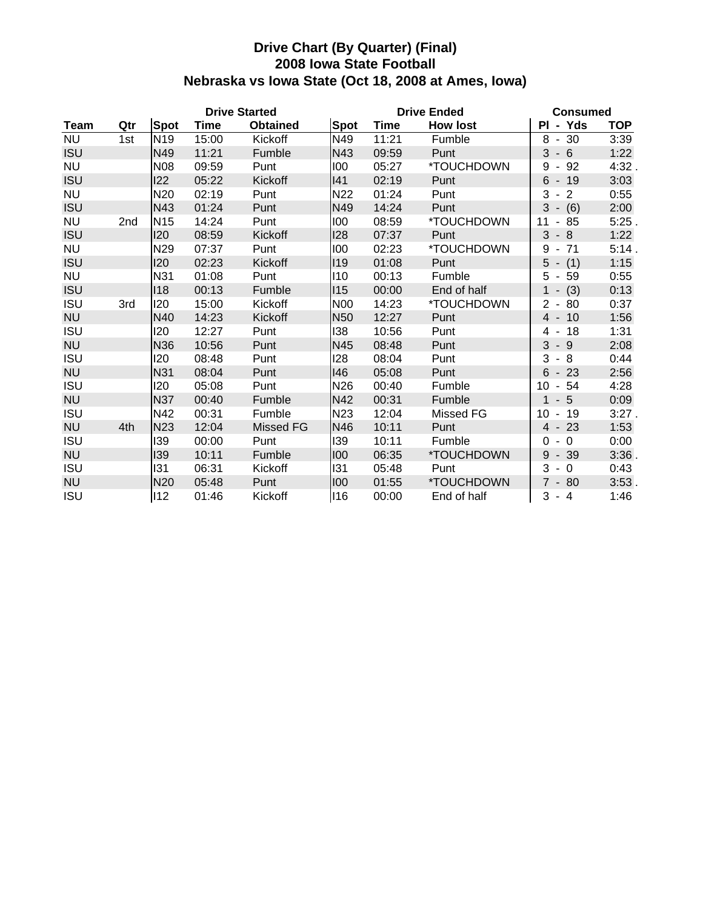### **Drive Chart (By Quarter) (Final) 2008 Iowa State Football Nebraska vs Iowa State (Oct 18, 2008 at Ames, Iowa)**

|             |     |                 | <b>Drive Started</b> |                  |            | <b>Drive Ended</b> | <b>Consumed</b> |                                                   |            |
|-------------|-----|-----------------|----------------------|------------------|------------|--------------------|-----------------|---------------------------------------------------|------------|
| <b>Team</b> | Qtr | Spot            | Time                 | <b>Obtained</b>  | Spot       | Time               | <b>How lost</b> | - Yds<br>ΡI                                       | <b>TOP</b> |
| <b>NU</b>   | 1st | N <sub>19</sub> | 15:00                | Kickoff          | N49        | 11:21              | Fumble          | $8 - 30$                                          | 3:39       |
| <b>ISU</b>  |     | N49             | 11:21                | Fumble           | N43        | 09:59              | Punt            | 3<br>$-6$                                         | 1:22       |
| <b>NU</b>   |     | <b>N08</b>      | 09:59                | Punt             | 100        | 05:27              | *TOUCHDOWN      | 92<br>9<br>$\overline{\phantom{a}}$               | 4:32       |
| <b>ISU</b>  |     | 122             | 05:22                | Kickoff          | 41         | 02:19              | Punt            | 6<br>$-19$                                        | 3:03       |
| <b>NU</b>   |     | N <sub>20</sub> | 02:19                | Punt             | N22        | 01:24              | Punt            | $\overline{2}$<br>3<br>$\overline{\phantom{a}}$   | 0:55       |
| <b>ISU</b>  |     | N43             | 01:24                | Punt             | N49        | 14:24              | Punt            | $3 - (6)$                                         | 2:00       |
| <b>NU</b>   | 2nd | <b>N15</b>      | 14:24                | Punt             | 100        | 08:59              | *TOUCHDOWN      | 11<br>85<br>$\blacksquare$                        | 5:25       |
| <b>ISU</b>  |     | 120             | 08:59                | Kickoff          | 128        | 07:37              | Punt            | 3<br>$-8$                                         | 1:22       |
| <b>NU</b>   |     | N29             | 07:37                | Punt             | 100        | 02:23              | *TOUCHDOWN      | 71<br>9<br>$\blacksquare$                         | 5:14.      |
| <b>ISU</b>  |     | <b>I20</b>      | 02:23                | Kickoff          | 119        | 01:08              | Punt            | $5 - (1)$                                         | 1:15       |
| <b>NU</b>   |     | N31             | 01:08                | Punt             | 110        | 00:13              | Fumble          | 5<br>$-59$                                        | 0:55       |
| <b>ISU</b>  |     | 118             | 00:13                | Fumble           | 115        | 00:00              | End of half     | $-$ (3)                                           | 0:13       |
| <b>ISU</b>  | 3rd | <b>I20</b>      | 15:00                | Kickoff          | <b>N00</b> | 14:23              | *TOUCHDOWN      | $\overline{2}$<br>80<br>$\overline{\phantom{a}}$  | 0:37       |
| <b>NU</b>   |     | N40             | 14:23                | Kickoff          | <b>N50</b> | 12:27              | Punt            | 10<br>$\overline{4}$<br>$\overline{\phantom{a}}$  | 1:56       |
| <b>ISU</b>  |     | 120             | 12:27                | Punt             | 138        | 10:56              | Punt            | 18<br>4<br>$\overline{\phantom{a}}$               | 1:31       |
| <b>NU</b>   |     | N36             | 10:56                | Punt             | N45        | 08:48              | Punt            | 3<br>$-9$                                         | 2:08       |
| <b>ISU</b>  |     | <b>I20</b>      | 08:48                | Punt             | 128        | 08:04              | Punt            | 3<br>8<br>$\blacksquare$                          | 0:44       |
| <b>NU</b>   |     | N31             | 08:04                | Punt             | 146        | 05:08              | Punt            | 6<br>23<br>$\blacksquare$                         | 2:56       |
| <b>ISU</b>  |     | 120             | 05:08                | Punt             | <b>N26</b> | 00:40              | Fumble          | 10<br>$-54$                                       | 4:28       |
| <b>NU</b>   |     | <b>N37</b>      | 00:40                | Fumble           | N42        | 00:31              | Fumble          | $-5$<br>$\mathbf 1$                               | 0:09       |
| <b>ISU</b>  |     | N42             | 00:31                | Fumble           | <b>N23</b> | 12:04              | Missed FG       | 10<br>$-19$                                       | 3:27.      |
| <b>NU</b>   | 4th | <b>N23</b>      | 12:04                | <b>Missed FG</b> | N46        | 10:11              | Punt            | $4 - 23$                                          | 1:53       |
| <b>ISU</b>  |     | 139             | 00:00                | Punt             | 139        | 10:11              | Fumble          | $\mathbf 0$<br>0<br>$\blacksquare$                | 0:00       |
| <b>NU</b>   |     | 139             | 10:11                | Fumble           | 100        | 06:35              | *TOUCHDOWN      | 9<br>39<br>$\blacksquare$                         | 3:36       |
| <b>ISU</b>  |     | 131             | 06:31                | Kickoff          | 131        | 05:48              | Punt            | 3<br>$\Omega$<br>$\overline{\phantom{a}}$         | 0:43       |
| <b>NU</b>   |     | N <sub>20</sub> | 05:48                | Punt             | 100        | 01:55              | *TOUCHDOWN      | $\overline{7}$<br>-80<br>$\overline{\phantom{a}}$ | 3:53.      |
| <b>ISU</b>  |     | 112             | 01:46                | Kickoff          | 116        | 00:00              | End of half     | 3<br>$-4$                                         | 1:46       |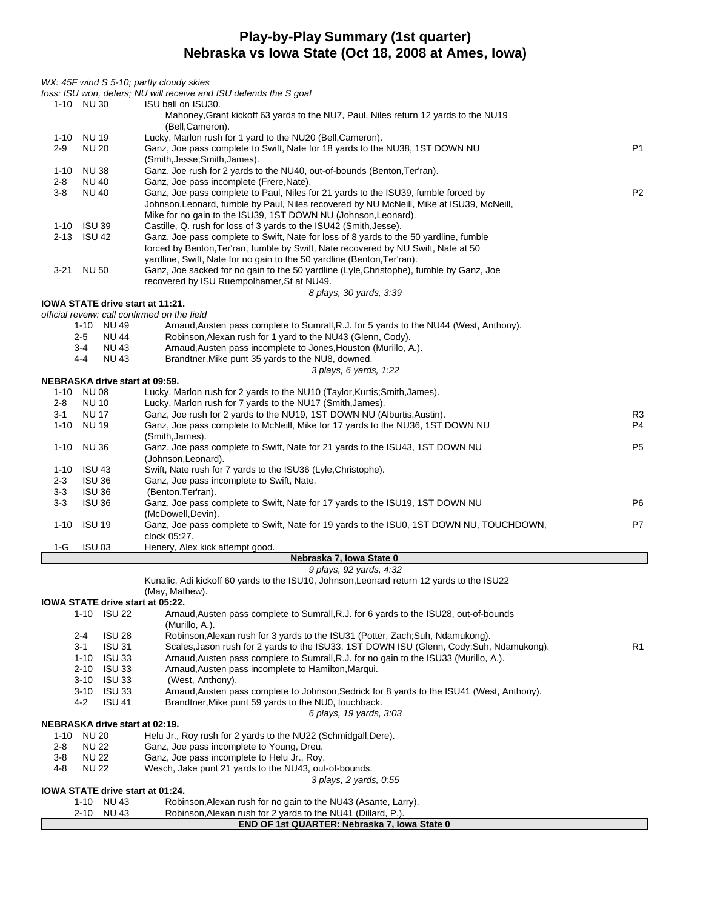### **Play-by-Play Summary (1st quarter) Nebraska vs Iowa State (Oct 18, 2008 at Ames, Iowa)**

| WX: 45F wind S 5-10; partly cloudy skies              | toss: ISU won, defers; NU will receive and ISU defends the S goal                                                                                                                 |                |
|-------------------------------------------------------|-----------------------------------------------------------------------------------------------------------------------------------------------------------------------------------|----------------|
| 1-10 NU 30                                            | ISU ball on ISU30.                                                                                                                                                                |                |
|                                                       | Mahoney, Grant kickoff 63 yards to the NU7, Paul, Niles return 12 yards to the NU19<br>(Bell,Cameron).                                                                            |                |
| 1-10 NU 19                                            | Lucky, Marlon rush for 1 yard to the NU20 (Bell, Cameron).                                                                                                                        |                |
| $2 - 9$<br><b>NU 20</b>                               | Ganz, Joe pass complete to Swift, Nate for 18 yards to the NU38, 1ST DOWN NU<br>(Smith, Jesse; Smith, James).                                                                     | P <sub>1</sub> |
| <b>NU38</b><br>$1 - 10$                               | Ganz, Joe rush for 2 yards to the NU40, out-of-bounds (Benton, Ter'ran).                                                                                                          |                |
| <b>NU 40</b><br>2-8                                   | Ganz, Joe pass incomplete (Frere, Nate).                                                                                                                                          |                |
| $3 - 8$<br><b>NU 40</b>                               | Ganz, Joe pass complete to Paul, Niles for 21 yards to the ISU39, fumble forced by                                                                                                | P <sub>2</sub> |
|                                                       | Johnson, Leonard, fumble by Paul, Niles recovered by NU McNeill, Mike at ISU39, McNeill,<br>Mike for no gain to the ISU39, 1ST DOWN NU (Johnson, Leonard).                        |                |
| 1-10 ISU 39                                           | Castille, Q. rush for loss of 3 yards to the ISU42 (Smith, Jesse).                                                                                                                |                |
| <b>ISU 42</b><br>$2 - 13$                             | Ganz, Joe pass complete to Swift, Nate for loss of 8 yards to the 50 yardline, fumble                                                                                             |                |
|                                                       | forced by Benton, Ter'ran, fumble by Swift, Nate recovered by NU Swift, Nate at 50<br>yardline, Swift, Nate for no gain to the 50 yardline (Benton, Ter'ran).                     |                |
| 3-21 NU 50                                            | Ganz, Joe sacked for no gain to the 50 yardline (Lyle,Christophe), fumble by Ganz, Joe                                                                                            |                |
|                                                       | recovered by ISU Ruempolhamer, St at NU49.                                                                                                                                        |                |
| IOWA STATE drive start at 11:21.                      | 8 plays, 30 yards, 3:39                                                                                                                                                           |                |
| official reveiw: call confirmed on the field          |                                                                                                                                                                                   |                |
| 1-10 NU 49                                            | Arnaud, Austen pass complete to Sumrall, R.J. for 5 yards to the NU44 (West, Anthony).                                                                                            |                |
| $2 - 5$<br><b>NU 44</b><br><b>NU 43</b><br>$3 - 4$    | Robinson, Alexan rush for 1 yard to the NU43 (Glenn, Cody).<br>Arnaud, Austen pass incomplete to Jones, Houston (Murillo, A.).                                                    |                |
| $4 - 4$<br><b>NU 43</b>                               | Brandtner, Mike punt 35 yards to the NU8, downed.                                                                                                                                 |                |
|                                                       | 3 plays, 6 yards, 1:22                                                                                                                                                            |                |
| NEBRASKA drive start at 09:59.<br>1-10 NU 08          | Lucky, Marlon rush for 2 yards to the NU10 (Taylor, Kurtis; Smith, James).                                                                                                        |                |
| $2 - 8$<br><b>NU 10</b>                               | Lucky, Marlon rush for 7 yards to the NU17 (Smith, James).                                                                                                                        |                |
| <b>NU 17</b><br>3-1                                   | Ganz, Joe rush for 2 yards to the NU19, 1ST DOWN NU (Alburtis, Austin).                                                                                                           | R <sub>3</sub> |
| 1-10 NU 19                                            | Ganz, Joe pass complete to McNeill, Mike for 17 yards to the NU36, 1ST DOWN NU<br>(Smith, James).                                                                                 | P <sub>4</sub> |
| <b>NU36</b><br>1-10                                   | Ganz, Joe pass complete to Swift, Nate for 21 yards to the ISU43, 1ST DOWN NU                                                                                                     | P <sub>5</sub> |
|                                                       | (Johnson, Leonard).                                                                                                                                                               |                |
| <b>ISU 43</b><br>1-10                                 | Swift, Nate rush for 7 yards to the ISU36 (Lyle, Christophe).                                                                                                                     |                |
| $2 - 3$<br><b>ISU 36</b><br>$3 - 3$<br><b>ISU 36</b>  | Ganz, Joe pass incomplete to Swift, Nate.<br>(Benton, Ter'ran).                                                                                                                   |                |
| $3 - 3$<br><b>ISU 36</b>                              | Ganz, Joe pass complete to Swift, Nate for 17 yards to the ISU19, 1ST DOWN NU                                                                                                     | P6             |
|                                                       | (McDowell, Devin).                                                                                                                                                                |                |
| <b>ISU 19</b><br>1-10                                 | Ganz, Joe pass complete to Swift, Nate for 19 yards to the ISU0, 1ST DOWN NU, TOUCHDOWN,<br>clock 05:27.                                                                          | P7             |
| <b>ISU 03</b><br>1-G                                  | Henery, Alex kick attempt good.                                                                                                                                                   |                |
|                                                       | Nebraska 7, Iowa State 0<br>9 plays, 92 yards, 4:32                                                                                                                               |                |
|                                                       | Kunalic, Adi kickoff 60 yards to the ISU10, Johnson, Leonard return 12 yards to the ISU22                                                                                         |                |
|                                                       | (May, Mathew).                                                                                                                                                                    |                |
| IOWA STATE drive start at 05:22.<br>1-10 ISU 22       | Arnaud, Austen pass complete to Sumrall, R.J. for 6 yards to the ISU28, out-of-bounds                                                                                             |                |
|                                                       | (Murillo, A.).                                                                                                                                                                    |                |
| $2 - 4$<br><b>ISU 28</b>                              | Robinson, Alexan rush for 3 yards to the ISU31 (Potter, Zach; Suh, Ndamukong).                                                                                                    |                |
| <b>ISU 31</b><br>$3 - 1$<br><b>ISU 33</b><br>1-10     | Scales, Jason rush for 2 yards to the ISU33, 1ST DOWN ISU (Glenn, Cody; Suh, Ndamukong).<br>Arnaud, Austen pass complete to Sumrall, R.J. for no gain to the ISU33 (Murillo, A.). | R1             |
| $2 - 10$<br><b>ISU 33</b>                             | Arnaud, Austen pass incomplete to Hamilton, Marqui.                                                                                                                               |                |
| $3 - 10$<br><b>ISU 33</b>                             | (West, Anthony).                                                                                                                                                                  |                |
| 3-10 ISU 33<br><b>ISU 41</b><br>$4 - 2$               | Arnaud, Austen pass complete to Johnson, Sedrick for 8 yards to the ISU41 (West, Anthony).<br>Brandtner, Mike punt 59 yards to the NU0, touchback.                                |                |
|                                                       | 6 plays, 19 yards, 3:03                                                                                                                                                           |                |
| NEBRASKA drive start at 02:19.                        |                                                                                                                                                                                   |                |
| <b>NU 20</b><br>1-10<br>2-8<br><b>NU 22</b>           | Helu Jr., Roy rush for 2 yards to the NU22 (Schmidgall, Dere).<br>Ganz, Joe pass incomplete to Young, Dreu.                                                                       |                |
| $3 - 8$<br><b>NU 22</b>                               | Ganz, Joe pass incomplete to Helu Jr., Roy.                                                                                                                                       |                |
| 4-8<br><b>NU 22</b>                                   | Wesch, Jake punt 21 yards to the NU43, out-of-bounds.                                                                                                                             |                |
|                                                       | 3 plays, 2 yards, 0:55                                                                                                                                                            |                |
| <b>IOWA STATE drive start at 01:24.</b><br>1-10 NU 43 | Robinson, Alexan rush for no gain to the NU43 (Asante, Larry).                                                                                                                    |                |
| 2-10 NU 43                                            | Robinson, Alexan rush for 2 yards to the NU41 (Dillard, P.).                                                                                                                      |                |
|                                                       | END OF 1st QUARTER: Nebraska 7, Iowa State 0                                                                                                                                      |                |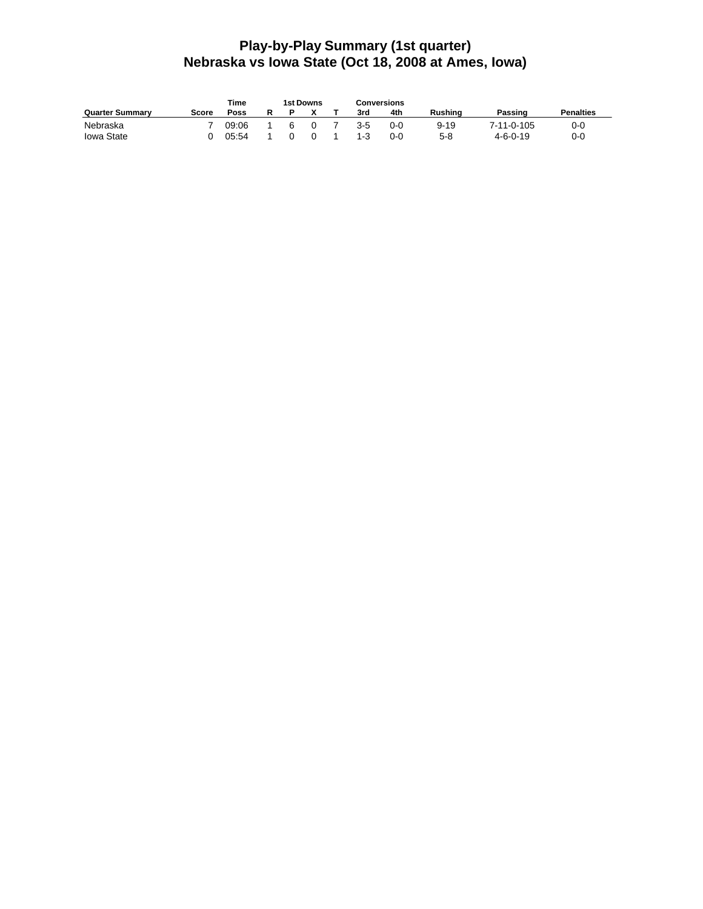### **Play-by-Play Summary (1st quarter) Nebraska vs Iowa State (Oct 18, 2008 at Ames, Iowa)**

|                        |       | Time  |  | 1st Downs | <b>Conversions</b> |         |          |                  |                  |
|------------------------|-------|-------|--|-----------|--------------------|---------|----------|------------------|------------------|
| <b>Quarter Summary</b> | Score | Poss  |  |           | 3rd                | 4th     | Rushina  | Passing          | <b>Penalties</b> |
| Nebraska               |       | 09:06 |  |           | $3 - 5$            | $0 - 0$ | $9 - 19$ | 7-11-0-105       | 0-0              |
| Iowa State             |       | 05:54 |  |           | $1 - 3$            | $0 - 0$ | 5-8      | $4 - 6 - 0 - 19$ | 0-0              |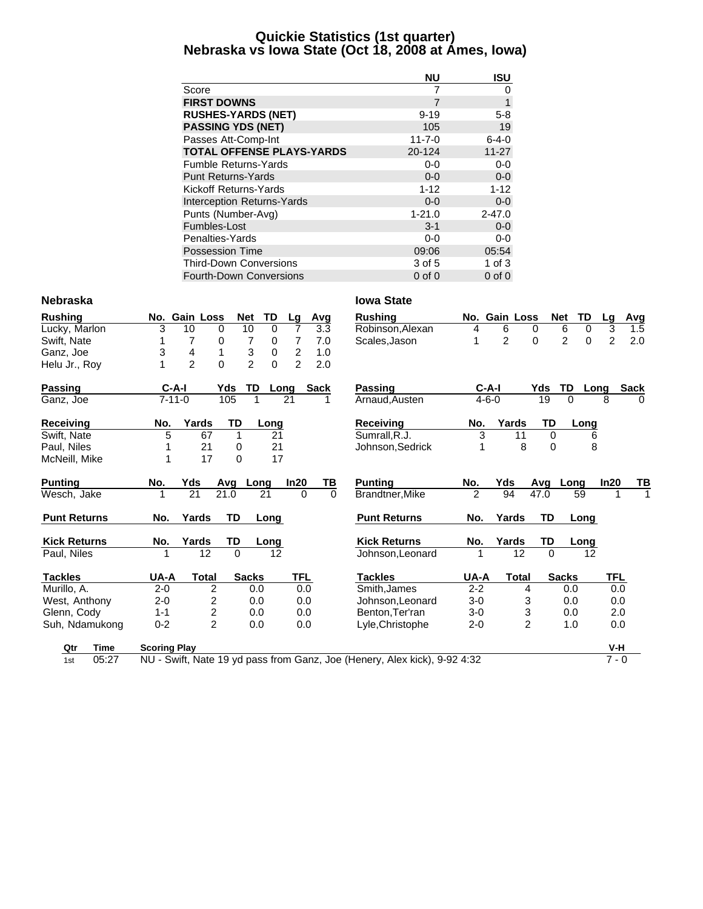### **Quickie Statistics (1st quarter) Nebraska vs Iowa State (Oct 18, 2008 at Ames, Iowa)**

|                                  | <b>NU</b>    | <b>ISU</b>  |
|----------------------------------|--------------|-------------|
| Score                            | 7            | 0           |
| <b>FIRST DOWNS</b>               | 7            | 1           |
| <b>RUSHES-YARDS (NET)</b>        | $9 - 19$     | $5 - 8$     |
| <b>PASSING YDS (NET)</b>         | 105          | 19          |
| Passes Att-Comp-Int              | $11 - 7 - 0$ | $6 - 4 - 0$ |
| <b>TOTAL OFFENSE PLAYS-YARDS</b> | 20-124       | $11 - 27$   |
| <b>Fumble Returns-Yards</b>      | $0-0$        | $0-0$       |
| <b>Punt Returns-Yards</b>        | $0 - 0$      | $0 - 0$     |
| Kickoff Returns-Yards            | $1 - 12$     | $1 - 12$    |
| Interception Returns-Yards       | $0 - 0$      | $0-0$       |
| Punts (Number-Avg)               | $1 - 21.0$   | $2 - 47.0$  |
| Fumbles-Lost                     | $3 - 1$      | $0-0$       |
| Penalties-Yards                  | $0 - 0$      | $0-0$       |
| <b>Possession Time</b>           | 09:06        | 05:54       |
| <b>Third-Down Conversions</b>    | 3 of 5       | 1 of $3$    |
| Fourth-Down Conversions          | $0$ of $0$   | $0$ of $0$  |

#### **Nebraska Iowa State**

| <b>Rushing</b>      | No.                 | Gain Loss      | <b>Net</b>     | TD                  | Lg                      | Avg         | <b>Rushing</b>                                                            |                | No. Gain Loss  |          | TD<br><b>Net</b>              | Lg             | <b>Avg</b>  |
|---------------------|---------------------|----------------|----------------|---------------------|-------------------------|-------------|---------------------------------------------------------------------------|----------------|----------------|----------|-------------------------------|----------------|-------------|
| Lucky, Marlon       | 3                   | 10             | 0              | 10<br>0             | 7                       | 3.3         | Robinson, Alexan                                                          | 4              | 6              | 0        | 6<br>0                        | 3              | 1.5         |
| Swift, Nate         |                     | 7              | 0              | 7<br>0              | 7                       | 7.0         | Scales, Jason                                                             |                | $\overline{2}$ | 0        | $\overline{2}$<br>$\mathbf 0$ | $\overline{2}$ | 2.0         |
| Ganz, Joe           | 3                   | 4              | 1              | 3<br>$\pmb{0}$      | $\overline{\mathbf{c}}$ | 1.0         |                                                                           |                |                |          |                               |                |             |
| Helu Jr., Rov       | 1                   | $\overline{2}$ | $\mathbf 0$    | $\overline{2}$<br>0 | $\overline{2}$          | 2.0         |                                                                           |                |                |          |                               |                |             |
| Passing             | $C-A-I$             |                | Yds            | TD                  | Long                    | <b>Sack</b> | <b>Passing</b>                                                            | $C-A-I$        |                | Yds      | TD                            | Long           | <b>Sack</b> |
| Ganz, Joe           | $7 - 11 - 0$        |                | 105            |                     | 21                      |             | Arnaud, Austen                                                            | $4 - 6 - 0$    |                | 19       | $\Omega$                      | 8              | $\Omega$    |
| Receiving           | No.                 | Yards          | TD             | Long                |                         |             | <b>Receiving</b>                                                          | No.            | Yards          | TD       | Long                          |                |             |
| Swift, Nate         | 5                   | 67             | 1              |                     | 21                      |             | Sumrall, R.J.                                                             | 3              | 11             | $\Omega$ |                               | 6              |             |
| Paul, Niles         |                     | 21             | 0              |                     | 21                      |             | Johnson, Sedrick                                                          | 1              | 8              | $\Omega$ |                               | 8              |             |
| McNeill, Mike       | 1                   | 17             | $\Omega$       |                     | 17                      |             |                                                                           |                |                |          |                               |                |             |
| <b>Punting</b>      | No.                 | Yds            | Avg            | Long                | In20                    | <u>ТВ</u>   | <b>Punting</b>                                                            | No.            | Yds            | Avg      | Long                          | In20           | TВ          |
| Wesch, Jake         | 1                   | 21             | 21.0           | 21                  | $\Omega$                | $\Omega$    | Brandtner, Mike                                                           | $\mathfrak{p}$ | 94             | 47.0     | $\overline{59}$               |                |             |
| <b>Punt Returns</b> | No.                 | Yards          | TD             | Long                |                         |             | <b>Punt Returns</b>                                                       | No.            | Yards          | TD       | Long                          |                |             |
| <b>Kick Returns</b> | No.                 | Yards          | TD             | Long                |                         |             | <b>Kick Returns</b>                                                       | No.            | Yards          | TD       | <b>Long</b>                   |                |             |
| Paul, Niles         |                     | 12             | $\Omega$       |                     | 12                      |             | Johnson, Leonard                                                          |                | 12             | $\Omega$ |                               | 12             |             |
| <b>Tackles</b>      | UA-A                | <b>Total</b>   |                | <b>Sacks</b>        | TFL                     |             | <b>Tackles</b>                                                            | UA-A           | <b>Total</b>   |          | <b>Sacks</b>                  | TFL            |             |
| Murillo, A.         | $2 - 0$             |                | 2              | 0.0                 | 0.0                     |             | Smith, James                                                              | $2 - 2$        | 4              |          | 0.0                           | 0.0            |             |
| West, Anthony       | $2 - 0$             |                | 2              | 0.0                 | 0.0                     |             | Johnson, Leonard                                                          | $3-0$          | 3              |          | 0.0                           | 0.0            |             |
| Glenn, Cody         | $1 - 1$             |                | $\overline{c}$ | 0.0                 | 0.0                     |             | Benton, Ter'ran                                                           | $3-0$          | 3              |          | 0.0                           | 2.0            |             |
| Suh, Ndamukong      | $0 - 2$             |                | $\overline{2}$ | 0.0                 | 0.0                     |             | Lyle, Christophe                                                          | $2 - 0$        | $\overline{2}$ |          | 1.0                           | 0.0            |             |
| <b>Time</b><br>Qtr  | <b>Scoring Play</b> |                |                |                     |                         |             |                                                                           |                |                |          |                               | V-H            |             |
| 05:27<br>1st        |                     |                |                |                     |                         |             | NU - Swift, Nate 19 yd pass from Ganz, Joe (Henery, Alex kick), 9-92 4:32 |                |                |          |                               | $7 - 0$        |             |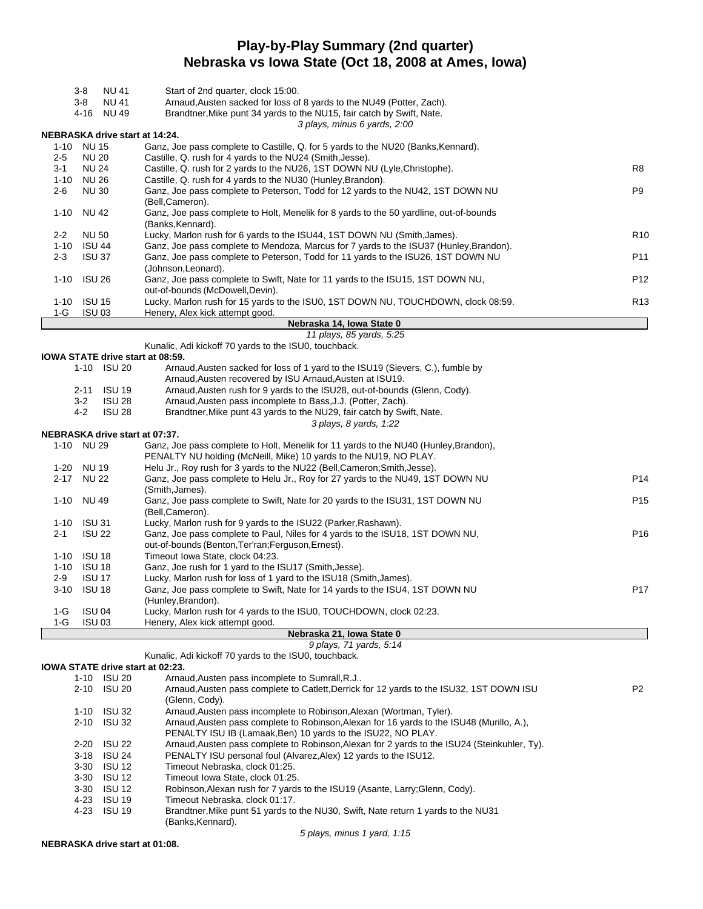## **Play-by-Play Summary (2nd quarter) Nebraska vs Iowa State (Oct 18, 2008 at Ames, Iowa)**

| <b>NU 41</b><br>3-8                                                                                                         | Start of 2nd quarter, clock 15:00.                                                                                                                 |                 |  |  |  |  |  |  |  |  |  |
|-----------------------------------------------------------------------------------------------------------------------------|----------------------------------------------------------------------------------------------------------------------------------------------------|-----------------|--|--|--|--|--|--|--|--|--|
| <b>NU 41</b><br>3-8                                                                                                         | Arnaud, Austen sacked for loss of 8 yards to the NU49 (Potter, Zach).                                                                              |                 |  |  |  |  |  |  |  |  |  |
| 4-16 NU 49                                                                                                                  | Brandtner, Mike punt 34 yards to the NU15, fair catch by Swift, Nate.                                                                              |                 |  |  |  |  |  |  |  |  |  |
|                                                                                                                             | 3 plays, minus 6 yards, 2:00                                                                                                                       |                 |  |  |  |  |  |  |  |  |  |
| NEBRASKA drive start at 14:24.                                                                                              |                                                                                                                                                    |                 |  |  |  |  |  |  |  |  |  |
| 1-10 NU 15                                                                                                                  | Ganz, Joe pass complete to Castille, Q. for 5 yards to the NU20 (Banks, Kennard).                                                                  |                 |  |  |  |  |  |  |  |  |  |
| <b>NU 20</b><br>$2 - 5$                                                                                                     | Castille, Q. rush for 4 yards to the NU24 (Smith, Jesse).<br>Castille, Q. rush for 2 yards to the NU26, 1ST DOWN NU (Lyle, Christophe).            | R <sub>8</sub>  |  |  |  |  |  |  |  |  |  |
| $3 - 1$<br><b>NU 24</b>                                                                                                     | Castille, Q. rush for 4 yards to the NU30 (Hunley, Brandon).<br>1-10<br>NU 26                                                                      |                 |  |  |  |  |  |  |  |  |  |
| P <sub>9</sub><br>$2 - 6$<br><b>NU30</b><br>Ganz, Joe pass complete to Peterson, Todd for 12 yards to the NU42, 1ST DOWN NU |                                                                                                                                                    |                 |  |  |  |  |  |  |  |  |  |
| (Bell,Cameron).                                                                                                             |                                                                                                                                                    |                 |  |  |  |  |  |  |  |  |  |
| <b>NU 42</b><br>$1 - 10$                                                                                                    | Ganz, Joe pass complete to Holt, Menelik for 8 yards to the 50 yardline, out-of-bounds                                                             |                 |  |  |  |  |  |  |  |  |  |
|                                                                                                                             | (Banks, Kennard).                                                                                                                                  |                 |  |  |  |  |  |  |  |  |  |
| $2 - 2$<br>NU 50                                                                                                            | Lucky, Marlon rush for 6 yards to the ISU44, 1ST DOWN NU (Smith, James).                                                                           | R <sub>10</sub> |  |  |  |  |  |  |  |  |  |
| <b>ISU 44</b><br>1-10                                                                                                       | Ganz, Joe pass complete to Mendoza, Marcus for 7 yards to the ISU37 (Hunley, Brandon).                                                             |                 |  |  |  |  |  |  |  |  |  |
| $2 - 3$<br>ISU 37                                                                                                           | Ganz, Joe pass complete to Peterson, Todd for 11 yards to the ISU26, 1ST DOWN NU                                                                   | P11             |  |  |  |  |  |  |  |  |  |
| <b>ISU 26</b>                                                                                                               | (Johnson, Leonard).                                                                                                                                | P <sub>12</sub> |  |  |  |  |  |  |  |  |  |
| 1-10                                                                                                                        | Ganz, Joe pass complete to Swift, Nate for 11 yards to the ISU15, 1ST DOWN NU,<br>out-of-bounds (McDowell, Devin).                                 |                 |  |  |  |  |  |  |  |  |  |
| <b>ISU 15</b><br>1-10                                                                                                       | Lucky, Marlon rush for 15 yards to the ISU0, 1ST DOWN NU, TOUCHDOWN, clock 08:59.                                                                  | R <sub>13</sub> |  |  |  |  |  |  |  |  |  |
| <b>ISU 03</b><br>1-G                                                                                                        | Henery, Alex kick attempt good.                                                                                                                    |                 |  |  |  |  |  |  |  |  |  |
|                                                                                                                             | Nebraska 14, Iowa State 0                                                                                                                          |                 |  |  |  |  |  |  |  |  |  |
|                                                                                                                             | 11 plays, 85 yards, 5:25                                                                                                                           |                 |  |  |  |  |  |  |  |  |  |
|                                                                                                                             | Kunalic, Adi kickoff 70 yards to the ISU0, touchback.                                                                                              |                 |  |  |  |  |  |  |  |  |  |
| IOWA STATE drive start at 08:59.                                                                                            |                                                                                                                                                    |                 |  |  |  |  |  |  |  |  |  |
| 1-10 ISU 20                                                                                                                 | Arnaud, Austen sacked for loss of 1 yard to the ISU19 (Sievers, C.), fumble by                                                                     |                 |  |  |  |  |  |  |  |  |  |
| <b>ISU 19</b><br>2-11                                                                                                       | Arnaud, Austen recovered by ISU Arnaud, Austen at ISU19.<br>Arnaud, Austen rush for 9 yards to the ISU28, out-of-bounds (Glenn, Cody).             |                 |  |  |  |  |  |  |  |  |  |
| $3 - 2$<br><b>ISU 28</b>                                                                                                    | Arnaud, Austen pass incomplete to Bass, J.J. (Potter, Zach).                                                                                       |                 |  |  |  |  |  |  |  |  |  |
| 4-2<br><b>ISU 28</b>                                                                                                        | Brandtner, Mike punt 43 yards to the NU29, fair catch by Swift, Nate.                                                                              |                 |  |  |  |  |  |  |  |  |  |
|                                                                                                                             | 3 plays, 8 yards, 1:22                                                                                                                             |                 |  |  |  |  |  |  |  |  |  |
| NEBRASKA drive start at 07:37.                                                                                              |                                                                                                                                                    |                 |  |  |  |  |  |  |  |  |  |
| 1-10 NU 29                                                                                                                  | Ganz, Joe pass complete to Holt, Menelik for 11 yards to the NU40 (Hunley, Brandon),                                                               |                 |  |  |  |  |  |  |  |  |  |
|                                                                                                                             | PENALTY NU holding (McNeill, Mike) 10 yards to the NU19, NO PLAY.                                                                                  |                 |  |  |  |  |  |  |  |  |  |
| <b>NU 19</b><br>1-20                                                                                                        | Helu Jr., Roy rush for 3 yards to the NU22 (Bell, Cameron; Smith, Jesse).                                                                          | P <sub>14</sub> |  |  |  |  |  |  |  |  |  |
| 2-17 NU 22                                                                                                                  | Ganz, Joe pass complete to Helu Jr., Roy for 27 yards to the NU49, 1ST DOWN NU<br>(Smith, James).                                                  |                 |  |  |  |  |  |  |  |  |  |
| <b>NU 49</b><br>$1 - 10$                                                                                                    | Ganz, Joe pass complete to Swift, Nate for 20 yards to the ISU31, 1ST DOWN NU                                                                      | P <sub>15</sub> |  |  |  |  |  |  |  |  |  |
|                                                                                                                             | (Bell,Cameron).                                                                                                                                    |                 |  |  |  |  |  |  |  |  |  |
| <b>ISU 31</b><br>1-10                                                                                                       | Lucky, Marlon rush for 9 yards to the ISU22 (Parker, Rashawn).                                                                                     |                 |  |  |  |  |  |  |  |  |  |
| <b>ISU 22</b><br>$2 - 1$                                                                                                    | Ganz, Joe pass complete to Paul, Niles for 4 yards to the ISU18, 1ST DOWN NU,                                                                      | P <sub>16</sub> |  |  |  |  |  |  |  |  |  |
|                                                                                                                             | out-of-bounds (Benton, Ter'ran; Ferguson, Ernest).                                                                                                 |                 |  |  |  |  |  |  |  |  |  |
| 1-10 ISU 18                                                                                                                 | Timeout Iowa State, clock 04:23.                                                                                                                   |                 |  |  |  |  |  |  |  |  |  |
| 1-10 ISU 18                                                                                                                 | Ganz, Joe rush for 1 yard to the ISU17 (Smith, Jesse).                                                                                             |                 |  |  |  |  |  |  |  |  |  |
| <b>ISU 17</b><br>2-9<br>3-10 ISU 18                                                                                         | Lucky, Marlon rush for loss of 1 yard to the ISU18 (Smith, James).<br>Ganz, Joe pass complete to Swift, Nate for 14 yards to the ISU4, 1ST DOWN NU | P17             |  |  |  |  |  |  |  |  |  |
|                                                                                                                             | (Hunley, Brandon).                                                                                                                                 |                 |  |  |  |  |  |  |  |  |  |
| <b>ISU 04</b><br>1-G                                                                                                        | Lucky, Marlon rush for 4 yards to the ISU0, TOUCHDOWN, clock 02:23.                                                                                |                 |  |  |  |  |  |  |  |  |  |
| <b>ISU 03</b><br>1-G                                                                                                        | Henery, Alex kick attempt good.                                                                                                                    |                 |  |  |  |  |  |  |  |  |  |
|                                                                                                                             | Nebraska 21, Iowa State 0                                                                                                                          |                 |  |  |  |  |  |  |  |  |  |
|                                                                                                                             | 9 plays, 71 yards, 5:14                                                                                                                            |                 |  |  |  |  |  |  |  |  |  |
|                                                                                                                             | Kunalic, Adi kickoff 70 yards to the ISU0, touchback.                                                                                              |                 |  |  |  |  |  |  |  |  |  |
| IOWA STATE drive start at 02:23.<br>1-10 ISU 20                                                                             | Arnaud, Austen pass incomplete to Sumrall, R.J                                                                                                     |                 |  |  |  |  |  |  |  |  |  |
| 2-10 ISU 20                                                                                                                 | Arnaud, Austen pass complete to Catlett, Derrick for 12 yards to the ISU32, 1ST DOWN ISU                                                           | P <sub>2</sub>  |  |  |  |  |  |  |  |  |  |
|                                                                                                                             | (Glenn, Cody).                                                                                                                                     |                 |  |  |  |  |  |  |  |  |  |
| $1-10$ ISU 32                                                                                                               | Arnaud, Austen pass incomplete to Robinson, Alexan (Wortman, Tyler).                                                                               |                 |  |  |  |  |  |  |  |  |  |
| 2-10 ISU 32                                                                                                                 | Arnaud, Austen pass complete to Robinson, Alexan for 16 yards to the ISU48 (Murillo, A.),                                                          |                 |  |  |  |  |  |  |  |  |  |
|                                                                                                                             | PENALTY ISU IB (Lamaak, Ben) 10 yards to the ISU22, NO PLAY.                                                                                       |                 |  |  |  |  |  |  |  |  |  |
| <b>ISU 22</b><br>$2 - 20$                                                                                                   | Arnaud, Austen pass complete to Robinson, Alexan for 2 yards to the ISU24 (Steinkuhler, Ty).                                                       |                 |  |  |  |  |  |  |  |  |  |
| <b>ISU 24</b><br>3-18                                                                                                       | PENALTY ISU personal foul (Alvarez, Alex) 12 yards to the ISU12.                                                                                   |                 |  |  |  |  |  |  |  |  |  |
| 3-30<br><b>ISU 12</b>                                                                                                       | Timeout Nebraska, clock 01:25.                                                                                                                     |                 |  |  |  |  |  |  |  |  |  |
| $3 - 30$<br><b>ISU 12</b><br>3-30 ISU 12                                                                                    | Timeout Iowa State, clock 01:25.<br>Robinson, Alexan rush for 7 yards to the ISU19 (Asante, Larry; Glenn, Cody).                                   |                 |  |  |  |  |  |  |  |  |  |
| <b>ISU 19</b><br>4-23                                                                                                       | Timeout Nebraska, clock 01:17.                                                                                                                     |                 |  |  |  |  |  |  |  |  |  |
| 4-23 ISU 19                                                                                                                 | Brandtner, Mike punt 51 yards to the NU30, Swift, Nate return 1 yards to the NU31                                                                  |                 |  |  |  |  |  |  |  |  |  |
|                                                                                                                             | (Banks, Kennard).                                                                                                                                  |                 |  |  |  |  |  |  |  |  |  |
|                                                                                                                             | 5 plays, minus 1 yard, 1:15                                                                                                                        |                 |  |  |  |  |  |  |  |  |  |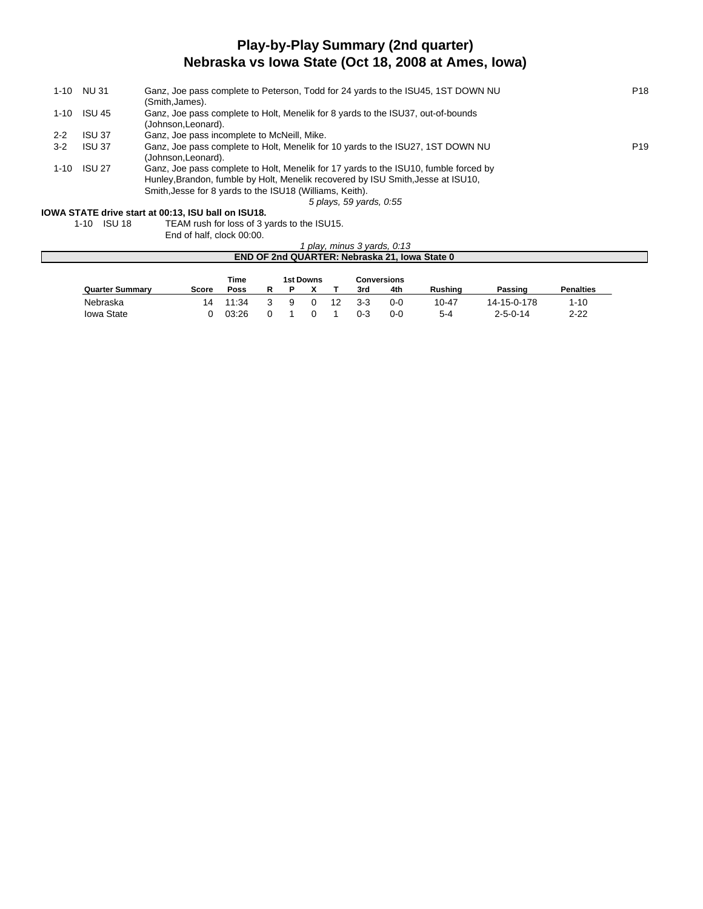### **Play-by-Play Summary (2nd quarter) Nebraska vs Iowa State (Oct 18, 2008 at Ames, Iowa)**

| 1-10     | NU 31         | Ganz, Joe pass complete to Peterson, Todd for 24 yards to the ISU45, 1ST DOWN NU     | P <sub>18</sub> |
|----------|---------------|--------------------------------------------------------------------------------------|-----------------|
|          |               | (Smith, James).                                                                      |                 |
| 1-10     | ISU 45        | Ganz, Joe pass complete to Holt, Menelik for 8 yards to the ISU37, out-of-bounds     |                 |
|          |               | (Johnson, Leonard).                                                                  |                 |
| $2 - 2$  | <b>ISU 37</b> | Ganz, Joe pass incomplete to McNeill, Mike.                                          |                 |
| $3 - 2$  | ISU 37        | Ganz, Joe pass complete to Holt, Menelik for 10 yards to the ISU27, 1ST DOWN NU      | P <sub>19</sub> |
|          |               | (Johnson, Leonard).                                                                  |                 |
| $1 - 10$ | ISU 27        | Ganz, Joe pass complete to Holt, Menelik for 17 yards to the ISU10, fumble forced by |                 |
|          |               | Hunley, Brandon, fumble by Holt, Menelik recovered by ISU Smith, Jesse at ISU10,     |                 |
|          |               | Smith, Jesse for 8 yards to the ISU18 (Williams, Keith).                             |                 |
|          |               | 5 plays, 59 yards, 0:55                                                              |                 |

# **IOWA STATE drive start at 00:13, ISU ball on ISU18.**

TEAM rush for loss of 3 yards to the ISU15.

End of half, clock 00:00.

| play, minus 3 yards, 0:13                     |       |       |  |    |          |    |         |         |           |                  |                  |  |
|-----------------------------------------------|-------|-------|--|----|----------|----|---------|---------|-----------|------------------|------------------|--|
| END OF 2nd QUARTER: Nebraska 21, Iowa State 0 |       |       |  |    |          |    |         |         |           |                  |                  |  |
| Time<br>Conversions<br>1st Downs              |       |       |  |    |          |    |         |         |           |                  |                  |  |
| <b>Quarter Summary</b>                        | Score | Poss  |  |    |          |    | 3rd     | 4th     | Rushina   | Passing          | <b>Penalties</b> |  |
| Nebraska                                      | 14    | 11:34 |  | -9 | $\Omega$ | 12 | $3-3$   | $0 - 0$ | $10 - 47$ | 14-15-0-178      | $1 - 10$         |  |
| <b>Iowa State</b>                             |       | 03:26 |  |    |          |    | $0 - 3$ | $0 - 0$ | $5 - 4$   | $2 - 5 - 0 - 14$ | $2 - 22$         |  |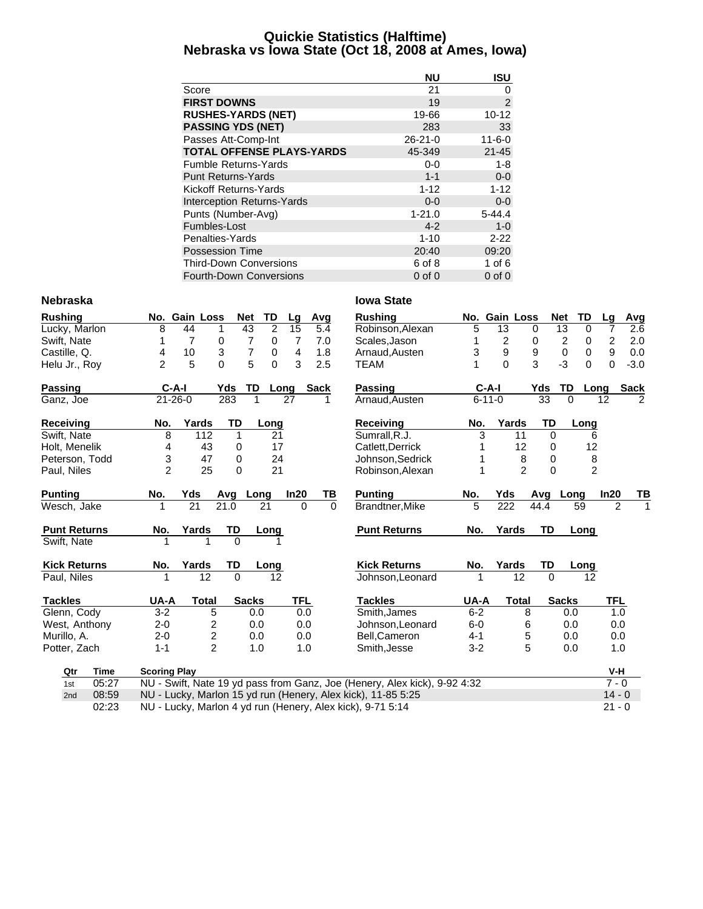#### **Quickie Statistics (Halftime) Nebraska vs Iowa State (Oct 18, 2008 at Ames, Iowa)**

|                                  | <b>NU</b>     | <b>ISU</b>     |
|----------------------------------|---------------|----------------|
| Score                            | 21            | 0              |
| <b>FIRST DOWNS</b>               | 19            | $\overline{2}$ |
| <b>RUSHES-YARDS (NET)</b>        | 19-66         | $10 - 12$      |
| <b>PASSING YDS (NET)</b>         | 283           | 33             |
| Passes Att-Comp-Int              | $26 - 21 - 0$ | $11 - 6 - 0$   |
| <b>TOTAL OFFENSE PLAYS-YARDS</b> | 45-349        | $21 - 45$      |
| <b>Fumble Returns-Yards</b>      | $0-0$         | $1 - 8$        |
| <b>Punt Returns-Yards</b>        | $1 - 1$       | $0 - 0$        |
| Kickoff Returns-Yards            | $1 - 12$      | $1 - 12$       |
| Interception Returns-Yards       | $0 - 0$       | $0-0$          |
| Punts (Number-Avg)               | $1 - 21.0$    | $5 - 44.4$     |
| Fumbles-Lost                     | $4 - 2$       | $1 - 0$        |
| Penalties-Yards                  | $1 - 10$      | $2 - 22$       |
| <b>Possession Time</b>           | 20:40         | 09:20          |
| <b>Third-Down Conversions</b>    | 6 of 8        | 1 of $6$       |
| <b>Fourth-Down Conversions</b>   | $0$ of $0$    | $0$ of $0$     |

#### **Nebraska Iowa State**

| <b>Rushing</b>      |                     | No. Gain Loss   | <b>Net</b> | TD                  | Lg         | Avg         | <b>Rushing</b>                                                            |         | No. Gain Loss    |                | <b>Net</b> | TD                  | Lq               | Avg            |
|---------------------|---------------------|-----------------|------------|---------------------|------------|-------------|---------------------------------------------------------------------------|---------|------------------|----------------|------------|---------------------|------------------|----------------|
| Lucky, Marlon       | 8                   | 44              | 43<br>1    | $\overline{2}$      | 15         | 5.4         | Robinson, Alexan                                                          | 5       | 13               | $\mathbf 0$    |            | 13<br>$\mathbf 0$   | 7                | 2.6            |
| Swift, Nate         |                     | $\overline{7}$  | 0          | $\overline{7}$<br>0 | 7          | 7.0         | Scales, Jason                                                             | 1       | 2                | 0              |            | $\overline{c}$<br>0 | 2                | 2.0            |
| Castille, Q.        | 4                   | 10              | 3          | $\overline{7}$<br>0 | 4          | 1.8         | Arnaud, Austen                                                            | 3       | 9                | 9              |            | $\pmb{0}$<br>0      | $\boldsymbol{9}$ | 0.0            |
| Helu Jr., Roy       | $\overline{2}$      | 5               | $\Omega$   | 5<br>0              | 3          | 2.5         | <b>TEAM</b>                                                               |         | $\Omega$         | 3              |            | $-3$<br>$\Omega$    | $\Omega$         | $-3.0$         |
| Passing             | $C-A-I$             |                 | Yds        | TD                  | Long       | <b>Sack</b> | <b>Passing</b>                                                            |         | $C-A-I$          |                | Yds        | TD                  | Long             | <b>Sack</b>    |
| Ganz, Joe           | $21 - 26 - 0$       |                 | 283        | 1                   | 27         | 1           | Arnaud, Austen                                                            |         | $6 - 11 - 0$     |                | 33         | 0                   | 12               | $\mathfrak{p}$ |
| Receiving           | No.                 | Yards           | TD         | Long                |            |             | Receiving                                                                 | No.     | Yards            |                | TD         | Long                |                  |                |
| Swift, Nate         | 8                   | 112             | 1          | 21                  |            |             | Sumrall, R.J.                                                             | 3       |                  | 11             | $\Omega$   | 6                   |                  |                |
| Holt, Menelik       | 4                   | 43              | 0          | 17                  |            |             | Catlett, Derrick                                                          |         |                  | 12             | 0          | 12                  |                  |                |
| Peterson, Todd      | 3                   | 47              | 0          | 24                  |            |             | Johnson, Sedrick                                                          |         |                  | 8              | 0          | 8                   |                  |                |
| Paul, Niles         | $\overline{2}$      | 25              | $\Omega$   | 21                  |            |             | Robinson, Alexan                                                          | 1       |                  | $\mathfrak{p}$ | $\Omega$   | $\overline{2}$      |                  |                |
| <b>Punting</b>      | No.                 | Yds             | Avg        | Long                | In20       | ΤВ          | <b>Punting</b>                                                            | No.     | Yds              |                | Avg        | Long                | In20             | TВ             |
| Wesch, Jake         |                     | $\overline{21}$ | 21.0       | 21                  | $\Omega$   | $\Omega$    | Brandtner, Mike                                                           | 5       | $\overline{222}$ |                | 44.4       | 59                  | 2                |                |
| <b>Punt Returns</b> | No.                 | Yards           | TD         | Long                |            |             | <b>Punt Returns</b>                                                       | No.     | Yards            |                | <b>TD</b>  | Long                |                  |                |
| Swift, Nate         |                     | 1               | $\Omega$   |                     |            |             |                                                                           |         |                  |                |            |                     |                  |                |
| <b>Kick Returns</b> | No.                 | Yards           | TD         | Long                |            |             | <b>Kick Returns</b>                                                       | No.     | Yards            |                | TD         | Long                |                  |                |
| Paul, Niles         |                     | 12              | $\Omega$   | 12                  |            |             | Johnson, Leonard                                                          |         |                  | 12             | $\Omega$   | 12                  |                  |                |
| <b>Tackles</b>      | UA-A                | <b>Total</b>    |            | <b>Sacks</b>        | <b>TFL</b> |             | <b>Tackles</b>                                                            | UA-A    |                  | <b>Total</b>   |            | <b>Sacks</b>        | <b>TFL</b>       |                |
| Glenn, Cody         | $3-2$               | 5               |            | 0.0                 | 0.0        |             | Smith, James                                                              | $6 - 2$ |                  | 8              |            | 0.0                 | 1.0              |                |
| West, Anthony       | $2 - 0$             | 2               |            | 0.0                 | 0.0        |             | Johnson, Leonard                                                          | $6-0$   |                  | 6              |            | 0.0                 | 0.0              |                |
| Murillo, A.         | $2 - 0$             | $\overline{c}$  |            | 0.0                 | 0.0        |             | Bell.Cameron                                                              | $4 - 1$ |                  | 5              |            | 0.0                 | 0.0              |                |
| Potter, Zach        | $1 - 1$             | $\overline{2}$  |            | 1.0                 | 1.0        |             | Smith, Jesse                                                              | $3 - 2$ |                  | 5              |            | 0.0                 | 1.0              |                |
| Qtr<br>Time         | <b>Scoring Play</b> |                 |            |                     |            |             |                                                                           |         |                  |                |            |                     | V-H              |                |
| 05:27<br>1st        |                     |                 |            |                     |            |             | NU - Swift, Nate 19 yd pass from Ganz, Joe (Henery, Alex kick), 9-92 4:32 |         |                  |                |            |                     | $7 - 0$          |                |
| 08:59<br>2nd        |                     |                 |            |                     |            |             | NU - Lucky, Marlon 15 yd run (Henery, Alex kick), 11-85 5:25              |         |                  |                |            |                     | $14 - 0$         |                |

02:23 NU - Lucky, Marlon 4 yd run (Henery, Alex kick), 9-71 5:14 21 - 0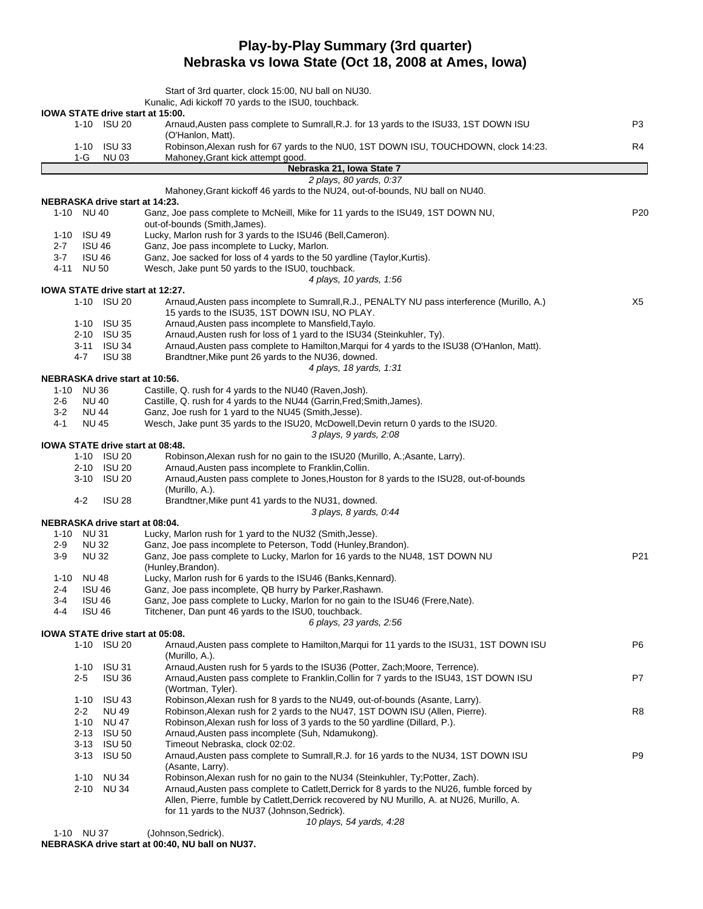## **Play-by-Play Summary (3rd quarter) Nebraska vs Iowa State (Oct 18, 2008 at Ames, Iowa)**

|                                                 | Start of 3rd quarter, clock 15:00, NU ball on NU30.                                                                       |                 |
|-------------------------------------------------|---------------------------------------------------------------------------------------------------------------------------|-----------------|
|                                                 | Kunalic, Adi kickoff 70 yards to the ISU0, touchback.                                                                     |                 |
| IOWA STATE drive start at 15:00.<br>1-10 ISU 20 | Arnaud, Austen pass complete to Sumrall, R.J. for 13 yards to the ISU33, 1ST DOWN ISU<br>(O'Hanlon, Matt).                | P3              |
| $1-10$ ISU 33<br>1-G<br><b>NU03</b>             | Robinson, Alexan rush for 67 yards to the NU0, 1ST DOWN ISU, TOUCHDOWN, clock 14:23.<br>Mahoney, Grant kick attempt good. | R4              |
|                                                 | Nebraska 21, Iowa State 7                                                                                                 |                 |
|                                                 | 2 plays, 80 yards, 0:37                                                                                                   |                 |
|                                                 | Mahoney, Grant kickoff 46 yards to the NU24, out-of-bounds, NU ball on NU40.                                              |                 |
| <b>NEBRASKA drive start at 14:23.</b>           |                                                                                                                           |                 |
| 1-10 NU 40                                      | Ganz, Joe pass complete to McNeill, Mike for 11 yards to the ISU49, 1ST DOWN NU,<br>out-of-bounds (Smith, James).         | P <sub>20</sub> |
| 1-10 ISU 49                                     | Lucky, Marlon rush for 3 yards to the ISU46 (Bell, Cameron).                                                              |                 |
| <b>ISU 46</b><br>$2 - 7$                        | Ganz, Joe pass incomplete to Lucky, Marlon.                                                                               |                 |
| $3 - 7$<br><b>ISU 46</b>                        | Ganz, Joe sacked for loss of 4 yards to the 50 yardline (Taylor, Kurtis).                                                 |                 |
| 4-11<br>NU 50                                   | Wesch, Jake punt 50 yards to the ISU0, touchback.                                                                         |                 |
|                                                 | 4 plays, 10 yards, 1:56                                                                                                   |                 |
| IOWA STATE drive start at 12:27.<br>1-10 ISU 20 | Arnaud, Austen pass incomplete to Sumrall, R.J., PENALTY NU pass interference (Murillo, A.)                               | X5              |
| 1-10 ISU 35                                     | 15 yards to the ISU35, 1ST DOWN ISU, NO PLAY.<br>Arnaud, Austen pass incomplete to Mansfield, Taylo.                      |                 |
| 2-10 ISU 35                                     | Arnaud, Austen rush for loss of 1 yard to the ISU34 (Steinkuhler, Ty).                                                    |                 |
| 3-11 ISU 34                                     | Arnaud, Austen pass complete to Hamilton, Marqui for 4 yards to the ISU38 (O'Hanlon, Matt).                               |                 |
| 4-7<br><b>ISU 38</b>                            | Brandtner, Mike punt 26 yards to the NU36, downed.<br>4 plays, 18 yards, 1:31                                             |                 |
| NEBRASKA drive start at 10:56.                  |                                                                                                                           |                 |
| <b>NU36</b><br>1-10                             | Castille, Q. rush for 4 yards to the NU40 (Raven, Josh).                                                                  |                 |
| <b>NU 40</b><br>2-6                             | Castille, Q. rush for 4 yards to the NU44 (Garrin, Fred; Smith, James).                                                   |                 |
| $3-2$<br><b>NU 44</b>                           | Ganz, Joe rush for 1 yard to the NU45 (Smith, Jesse).                                                                     |                 |
| 4-1<br>NU 45                                    | Wesch, Jake punt 35 yards to the ISU20, McDowell, Devin return 0 yards to the ISU20.                                      |                 |
|                                                 | 3 plays, 9 yards, 2:08                                                                                                    |                 |
| IOWA STATE drive start at 08:48.                |                                                                                                                           |                 |
| 1-10 ISU 20                                     | Robinson, Alexan rush for no gain to the ISU20 (Murillo, A.; Asante, Larry).                                              |                 |
| 2-10 ISU 20                                     | Arnaud, Austen pass incomplete to Franklin, Collin.                                                                       |                 |
| 3-10 ISU 20                                     | Arnaud, Austen pass complete to Jones, Houston for 8 yards to the ISU28, out-of-bounds                                    |                 |
|                                                 | (Murillo, A.).                                                                                                            |                 |
| 4-2<br>ISU 28                                   | Brandtner, Mike punt 41 yards to the NU31, downed.                                                                        |                 |
| NEBRASKA drive start at 08:04.                  | 3 plays, 8 yards, 0:44                                                                                                    |                 |
| 1-10 NU 31                                      | Lucky, Marlon rush for 1 yard to the NU32 (Smith, Jesse).                                                                 |                 |
| <b>NU32</b><br>2-9                              | Ganz, Joe pass incomplete to Peterson, Todd (Hunley, Brandon).                                                            |                 |
| <b>NU32</b><br>3-9                              | Ganz, Joe pass complete to Lucky, Marlon for 16 yards to the NU48, 1ST DOWN NU                                            | P21             |
|                                                 | (Hunley, Brandon).                                                                                                        |                 |
| <b>NU 48</b><br>$1 - 10$                        | Lucky, Marlon rush for 6 yards to the ISU46 (Banks, Kennard).                                                             |                 |
| 2-4<br><b>ISU 46</b>                            | Ganz, Joe pass incomplete, QB hurry by Parker, Rashawn.                                                                   |                 |
| <b>ISU 46</b><br>3-4                            | Ganz, Joe pass complete to Lucky, Marlon for no gain to the ISU46 (Frere, Nate).                                          |                 |
| <b>ISU 46</b><br>4-4                            | Titchener, Dan punt 46 yards to the ISU0, touchback.                                                                      |                 |
|                                                 | 6 plays, 23 yards, 2:56                                                                                                   |                 |
| IOWA STATE drive start at 05:08.                |                                                                                                                           |                 |
| 1-10 ISU 20                                     | Arnaud, Austen pass complete to Hamilton, Marqui for 11 yards to the ISU31, 1ST DOWN ISU<br>(Murillo, A.).                | P6              |
| 1-10 ISU 31                                     | Arnaud, Austen rush for 5 yards to the ISU36 (Potter, Zach; Moore, Terrence).                                             |                 |
| 2-5<br><b>ISU 36</b>                            | Arnaud, Austen pass complete to Franklin, Collin for 7 yards to the ISU43, 1ST DOWN ISU<br>(Wortman, Tyler).              | P7              |
| 1-10 ISU 43                                     | Robinson, Alexan rush for 8 yards to the NU49, out-of-bounds (Asante, Larry).                                             |                 |
| $2 - 2$<br>NU 49                                | Robinson, Alexan rush for 2 yards to the NU47, 1ST DOWN ISU (Allen, Pierre).                                              | R <sub>8</sub>  |
| 1-10 NU 47                                      | Robinson, Alexan rush for loss of 3 yards to the 50 yardline (Dillard, P.).                                               |                 |
| 2-13 ISU 50                                     | Arnaud, Austen pass incomplete (Suh, Ndamukong).                                                                          |                 |
| 3-13 ISU 50                                     | Timeout Nebraska, clock 02:02.                                                                                            |                 |
| 3-13 ISU 50                                     | Arnaud, Austen pass complete to Sumrall, R.J. for 16 yards to the NU34, 1ST DOWN ISU<br>(Asante, Larry).                  | P9              |
| <b>NU34</b><br>1-10                             | Robinson, Alexan rush for no gain to the NU34 (Steinkuhler, Ty; Potter, Zach).                                            |                 |
| 2-10 NU 34                                      | Arnaud, Austen pass complete to Catlett, Derrick for 8 yards to the NU26, fumble forced by                                |                 |
|                                                 | Allen, Pierre, fumble by Catlett, Derrick recovered by NU Murillo, A. at NU26, Murillo, A.                                |                 |
|                                                 | for 11 yards to the NU37 (Johnson, Sedrick).                                                                              |                 |
|                                                 | 10 plays, 54 yards, 4:28                                                                                                  |                 |

1-10 NU 37 (Johnson, Sedrick).

**NEBRASKA drive start at 00:40, NU ball on NU37.**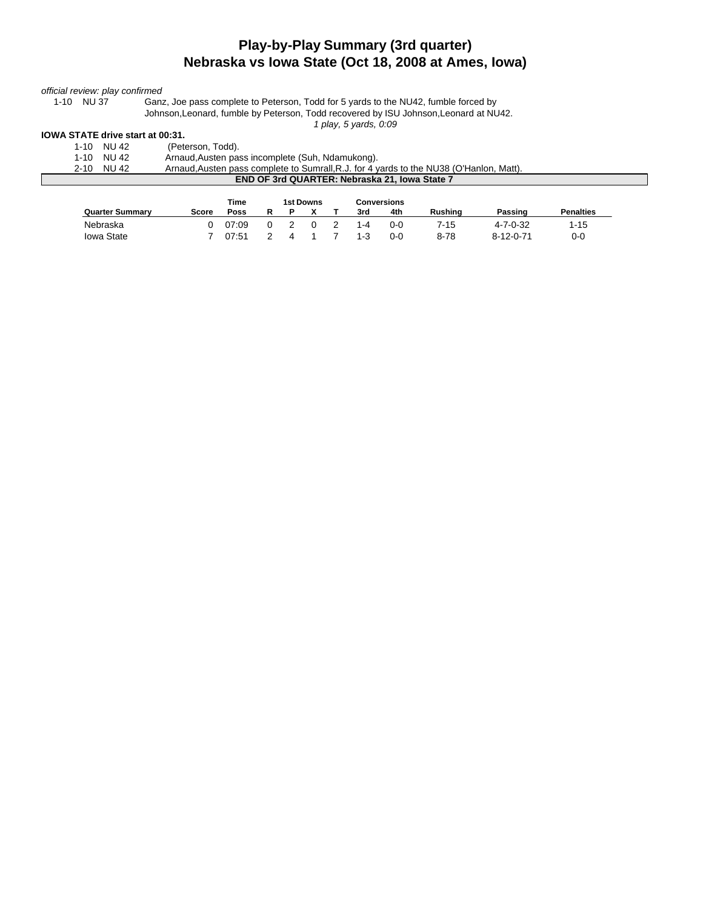### **Play-by-Play Summary (3rd quarter) Nebraska vs Iowa State (Oct 18, 2008 at Ames, Iowa)**

# *official review: play confirmed*

Ganz, Joe pass complete to Peterson, Todd for 5 yards to the NU42, fumble forced by Johnson,Leonard, fumble by Peterson, Todd recovered by ISU Johnson,Leonard at NU42.

*1 play, 5 yards, 0:09*

#### **IOWA STATE drive start at 00:31.**

| 1-10       | NU 42 | (Peterson, Todd).                                                                       |
|------------|-------|-----------------------------------------------------------------------------------------|
| 1-10 NU 42 |       | Arnaud, Austen pass incomplete (Suh, Ndamukong).                                        |
| 2-10       | NU 42 | Arnaud, Austen pass complete to Sumrall, R.J. for 4 yards to the NU38 (O'Hanlon, Matt). |
|            |       | END OF 3rd QUARTER: Nebraska 21. Iowa State 7                                           |

|                        |       | Time  | 1st Downs<br>Conversions |  |  |     |     |                |                   |                  |
|------------------------|-------|-------|--------------------------|--|--|-----|-----|----------------|-------------------|------------------|
| <b>Quarter Summary</b> | Score | Poss  |                          |  |  | 3rd | 4th | <b>Rushing</b> | Passing           | <b>Penalties</b> |
| Nebraska               |       | 07:09 |                          |  |  | 1-4 | 0-0 | 7-15           | $4 - 7 - 0 - 32$  | 1-15             |
| <b>Iowa State</b>      |       | 07:51 |                          |  |  | 1-3 | 0-0 | $8 - 78$       | $8 - 12 - 0 - 71$ | 0-0              |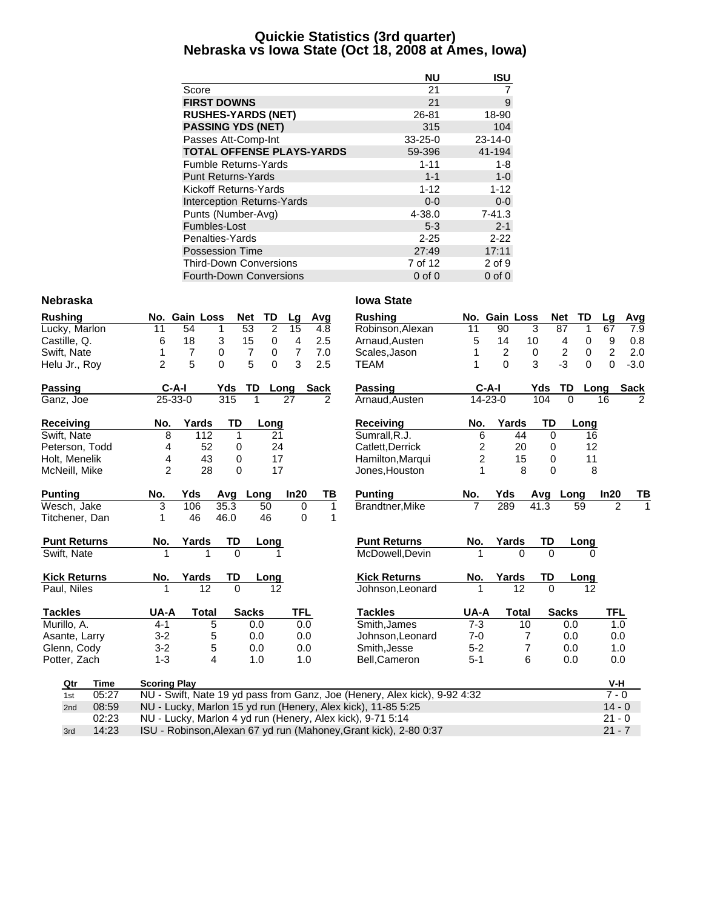#### **Quickie Statistics (3rd quarter) Nebraska vs Iowa State (Oct 18, 2008 at Ames, Iowa)**

|                                  | <b>NU</b>     | <b>ISU</b>    |
|----------------------------------|---------------|---------------|
| Score                            | 21            | 7             |
| <b>FIRST DOWNS</b>               | 21            | 9             |
| <b>RUSHES-YARDS (NET)</b>        | 26-81         | 18-90         |
| <b>PASSING YDS (NET)</b>         | 315           | 104           |
| Passes Att-Comp-Int              | $33 - 25 - 0$ | $23 - 14 - 0$ |
| <b>TOTAL OFFENSE PLAYS-YARDS</b> | 59-396        | 41-194        |
| <b>Fumble Returns-Yards</b>      | $1 - 11$      | 1-8           |
| <b>Punt Returns-Yards</b>        | $1 - 1$       | $1 - 0$       |
| Kickoff Returns-Yards            | $1 - 12$      | $1 - 12$      |
| Interception Returns-Yards       | $0 - 0$       | $0-0$         |
| Punts (Number-Avg)               | 4-38.0        | $7 - 41.3$    |
| Fumbles-Lost                     | $5 - 3$       | $2 - 1$       |
| Penalties-Yards                  | $2 - 25$      | $2 - 22$      |
| <b>Possession Time</b>           | 27:49         | 17:11         |
| <b>Third-Down Conversions</b>    | 7 of 12       | 2 of 9        |
| <b>Fourth-Down Conversions</b>   | 0 of 0        | $0$ of $0$    |

#### **Nebraska Iowa State**

| <b>Rushing</b>      |       |                                                                   | No. Gain Loss  | <b>Net</b>     | TD             | Lg          | Avg         | <b>Rushing</b>                                                            |                | No. Gain Loss  |              | Net                     | TD              | Lq             | Avg         |
|---------------------|-------|-------------------------------------------------------------------|----------------|----------------|----------------|-------------|-------------|---------------------------------------------------------------------------|----------------|----------------|--------------|-------------------------|-----------------|----------------|-------------|
| Lucky, Marlon       |       | 11                                                                | 54             | 53<br>1        | $\overline{2}$ | 15          | 4.8         | Robinson, Alexan                                                          | 11             | 90             | 3            | 87                      | 1               | 67             | 7.9         |
| Castille, Q.        |       | 6                                                                 | 18             | 15<br>3        | 0              | 4           | 2.5         | Arnaud, Austen                                                            | 5              | 14             | 10           | 4                       | 0               | 9              | 0.8         |
| Swift, Nate         |       | 1                                                                 | $\overline{7}$ | 0              | 7<br>0         | 7           | 7.0         | Scales, Jason                                                             |                | $\overline{c}$ | 0            | $\overline{\mathbf{c}}$ | $\mathbf 0$     | $\overline{c}$ | 2.0         |
| Helu Jr., Roy       |       | $\overline{2}$                                                    | 5              | $\overline{0}$ | 5<br>$\Omega$  | 3           | 2.5         | <b>TEAM</b>                                                               |                | $\Omega$       | 3            | $-3$                    | 0               | $\mathbf 0$    | $-3.0$      |
| Passing             |       | $C-A-I$                                                           |                | Yds            | TD             | Long        | <b>Sack</b> | <b>Passing</b>                                                            |                | $C-A-I$        |              | Yds<br>TD               | Long            |                | <b>Sack</b> |
| Ganz, Joe           |       | 25-33-0                                                           |                | 315            | 1              | 27          | 2           | Arnaud, Austen                                                            |                | 14-23-0        |              | 104                     | $\Omega$        | 16             | 2           |
| Receiving           |       | No.                                                               | Yards          | TD             | Long           |             |             | <b>Receiving</b>                                                          | No.            | Yards          |              | TD                      | Long            |                |             |
| Swift, Nate         |       | 8                                                                 | 112            | 1              | 21             |             |             | Sumrall, R.J.                                                             | 6              |                | 44           | $\Omega$                | 16              |                |             |
| Peterson, Todd      |       | 4                                                                 | 52             | 0              | 24             |             |             | Catlett, Derrick                                                          | 2              |                | 20           | 0                       | 12              |                |             |
| Holt, Menelik       |       | 4                                                                 | 43             | 0              | 17             |             |             | Hamilton, Marqui                                                          | $\overline{2}$ |                | 15           | 0                       | 11              |                |             |
| McNeill, Mike       |       | $\overline{c}$                                                    | 28             | 0              | 17             |             |             | Jones, Houston                                                            | 1              |                | 8            | 0                       | 8               |                |             |
| <b>Punting</b>      |       | No.                                                               | Yds            | Avg            | Long           | In20        | ΤВ          | <b>Punting</b>                                                            | No.            | Yds            |              | Avg                     | Long            | In20           | ΤВ          |
| Wesch, Jake         |       | 3                                                                 | 106            | 35.3           | 50             | 0           | 1           | Brandtner, Mike                                                           | 7              | 289            |              | 41.3                    | 59              | $\overline{2}$ |             |
| Titchener, Dan      |       | 1                                                                 | 46             | 46.0           | 46             | $\mathbf 0$ | 1           |                                                                           |                |                |              |                         |                 |                |             |
| <b>Punt Returns</b> |       | No.                                                               | Yards          | TD             | Long           |             |             | <b>Punt Returns</b>                                                       | No.            | Yards          |              | TD                      | Long            |                |             |
| Swift, Nate         |       |                                                                   |                | $\Omega$       |                |             |             | McDowell, Devin                                                           |                |                | $\Omega$     | $\Omega$                |                 |                |             |
| <b>Kick Returns</b> |       | No.                                                               | Yards          | TD             | Long           |             |             | <b>Kick Returns</b>                                                       | No.            | Yards          |              | TD                      | Long            |                |             |
| Paul, Niles         |       |                                                                   | 12             | $\overline{0}$ | 12             |             |             | Johnson, Leonard                                                          |                |                | 12           | $\Omega$                | 12 <sup>2</sup> |                |             |
| <b>Tackles</b>      |       | UA-A                                                              | <b>Total</b>   | <b>Sacks</b>   |                | <b>TFL</b>  |             | <b>Tackles</b>                                                            | UA-A           |                | <b>Total</b> | <b>Sacks</b>            |                 | <b>TFL</b>     |             |
| Murillo, A.         |       | $4 - 1$                                                           | 5              |                | 0.0            | 0.0         |             | Smith, James                                                              | $7 - 3$        |                | 10           |                         | 0.0             | 1.0            |             |
| Asante, Larry       |       | $3 - 2$                                                           | 5              |                | 0.0            | 0.0         |             | Johnson, Leonard                                                          | $7 - 0$        |                | 7            |                         | 0.0             | 0.0            |             |
| Glenn, Cody         |       | $3 - 2$                                                           | 5              |                | 0.0            | 0.0         |             | Smith, Jesse                                                              | $5 - 2$        |                | 7            |                         | 0.0             | 1.0            |             |
| Potter, Zach        |       | $1 - 3$                                                           | 4              |                | 1.0            | 1.0         |             | Bell, Cameron                                                             | $5 - 1$        |                | 6            |                         | 0.0             | 0.0            |             |
| Qtr                 | Time  | <b>Scoring Play</b>                                               |                |                |                |             |             |                                                                           |                |                |              |                         |                 | V-H            |             |
| 1st                 | 05:27 |                                                                   |                |                |                |             |             | NU - Swift, Nate 19 yd pass from Ganz, Joe (Henery, Alex kick), 9-92 4:32 |                |                |              |                         |                 | $7 - 0$        |             |
| 2nd                 | 08:59 | NU - Lucky, Marlon 15 yd run (Henery, Alex kick), 11-85 5:25      |                |                |                |             |             | $14 - 0$                                                                  |                |                |              |                         |                 |                |             |
|                     | 02:23 |                                                                   |                |                |                |             |             | NU - Lucky, Marlon 4 yd run (Henery, Alex kick), 9-71 5:14                |                |                |              |                         |                 | $21 - 0$       |             |
| 3rd                 | 14:23 | ISU - Robinson, Alexan 67 yd run (Mahoney, Grant kick), 2-80 0:37 |                |                |                |             |             |                                                                           |                | $21 - 7$       |              |                         |                 |                |             |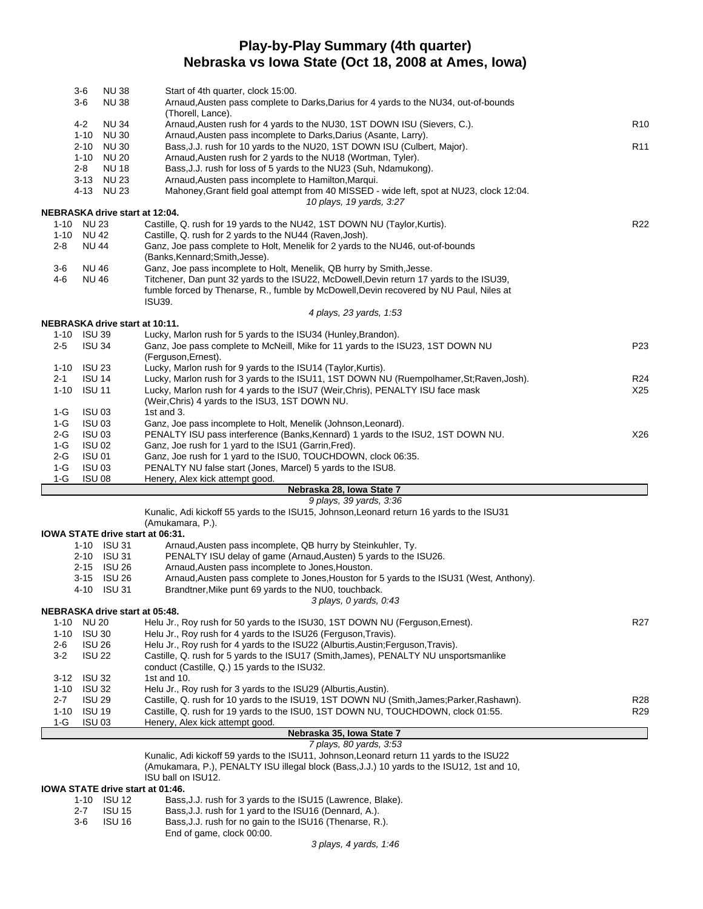### **Play-by-Play Summary (4th quarter) Nebraska vs Iowa State (Oct 18, 2008 at Ames, Iowa)**

| <b>NU38</b><br>3-6<br>$3-6$<br>NU 38              | Start of 4th quarter, clock 15:00.<br>Arnaud,Austen pass complete to Darks,Darius for 4 yards to the NU34, out-of-bounds                                   |                 |
|---------------------------------------------------|------------------------------------------------------------------------------------------------------------------------------------------------------------|-----------------|
|                                                   | (Thorell, Lance).                                                                                                                                          |                 |
| 4-2<br>NU 34<br>$1 - 10$<br><b>NU30</b>           | Arnaud, Austen rush for 4 yards to the NU30, 1ST DOWN ISU (Sievers, C.).<br>Arnaud, Austen pass incomplete to Darks, Darius (Asante, Larry).               | R <sub>10</sub> |
| <b>NU30</b><br>$2 - 10$                           | Bass, J.J. rush for 10 yards to the NU20, 1ST DOWN ISU (Culbert, Major).                                                                                   | R <sub>11</sub> |
| <b>NU 20</b><br>1-10                              | Arnaud, Austen rush for 2 yards to the NU18 (Wortman, Tyler).                                                                                              |                 |
| $2 - 8$<br><b>NU18</b>                            | Bass, J.J. rush for loss of 5 yards to the NU23 (Suh, Ndamukong).                                                                                          |                 |
| 3-13 NU 23<br>4-13 NU 23                          | Arnaud, Austen pass incomplete to Hamilton, Marqui.<br>Mahoney, Grant field goal attempt from 40 MISSED - wide left, spot at NU23, clock 12:04.            |                 |
|                                                   | 10 plays, 19 yards, 3:27                                                                                                                                   |                 |
| NEBRASKA drive start at 12:04.                    |                                                                                                                                                            |                 |
| 1-10 NU 23                                        | Castille, Q. rush for 19 yards to the NU42, 1ST DOWN NU (Taylor, Kurtis).                                                                                  | R22             |
| 1-10 NU 42<br><b>NU 44</b><br>2-8                 | Castille, Q. rush for 2 yards to the NU44 (Raven, Josh).<br>Ganz, Joe pass complete to Holt, Menelik for 2 yards to the NU46, out-of-bounds                |                 |
|                                                   | (Banks, Kennard; Smith, Jesse).                                                                                                                            |                 |
| <b>NU 46</b><br>3-6                               | Ganz, Joe pass incomplete to Holt, Menelik, QB hurry by Smith, Jesse.                                                                                      |                 |
| <b>NU 46</b><br>4-6                               | Titchener, Dan punt 32 yards to the ISU22, McDowell, Devin return 17 yards to the ISU39,                                                                   |                 |
|                                                   | fumble forced by Thenarse, R., fumble by McDowell, Devin recovered by NU Paul, Niles at                                                                    |                 |
|                                                   | ISU39.<br>4 plays, 23 yards, 1:53                                                                                                                          |                 |
| NEBRASKA drive start at 10:11.                    |                                                                                                                                                            |                 |
| 1-10 ISU 39                                       | Lucky, Marlon rush for 5 yards to the ISU34 (Hunley, Brandon).                                                                                             |                 |
| $2 - 5$<br><b>ISU 34</b>                          | Ganz, Joe pass complete to McNeill, Mike for 11 yards to the ISU23, 1ST DOWN NU                                                                            | P <sub>23</sub> |
|                                                   | (Ferguson, Ernest).                                                                                                                                        |                 |
| 1-10 ISU 23<br>$2 - 1$<br><b>ISU 14</b>           | Lucky, Marlon rush for 9 yards to the ISU14 (Taylor, Kurtis).<br>Lucky, Marlon rush for 3 yards to the ISU11, 1ST DOWN NU (Ruempolhamer, St; Raven, Josh). | R <sub>24</sub> |
| 1-10 ISU 11                                       | Lucky, Marlon rush for 4 yards to the ISU7 (Weir, Chris), PENALTY ISU face mask                                                                            | X25             |
|                                                   | (Weir, Chris) 4 yards to the ISU3, 1ST DOWN NU.                                                                                                            |                 |
| <b>ISU 03</b><br>1-G                              | 1st and 3.                                                                                                                                                 |                 |
| <b>ISU 03</b><br>1-G<br><b>ISU 03</b>             | Ganz, Joe pass incomplete to Holt, Menelik (Johnson, Leonard).<br>PENALTY ISU pass interference (Banks, Kennard) 1 yards to the ISU2, 1ST DOWN NU.         | X26             |
| 2-G<br>1-G<br><b>ISU 02</b>                       | Ganz, Joe rush for 1 yard to the ISU1 (Garrin, Fred).                                                                                                      |                 |
| <b>ISU 01</b><br>2-G                              | Ganz, Joe rush for 1 yard to the ISU0, TOUCHDOWN, clock 06:35.                                                                                             |                 |
| $1-G$<br><b>ISU 03</b>                            | PENALTY NU false start (Jones, Marcel) 5 yards to the ISU8.                                                                                                |                 |
| $1-G$<br><b>ISU 08</b>                            | Henery, Alex kick attempt good.                                                                                                                            |                 |
|                                                   | Nebraska 28, Iowa State 7<br>9 plays, 39 yards, 3:36                                                                                                       |                 |
|                                                   | Kunalic, Adi kickoff 55 yards to the ISU15, Johnson, Leonard return 16 yards to the ISU31                                                                  |                 |
|                                                   | (Amukamara, P.).                                                                                                                                           |                 |
| IOWA STATE drive start at 06:31.                  |                                                                                                                                                            |                 |
| $1-10$ ISU 31<br>2-10 ISU 31                      | Arnaud, Austen pass incomplete, QB hurry by Steinkuhler, Ty.<br>PENALTY ISU delay of game (Arnaud, Austen) 5 yards to the ISU26.                           |                 |
| 2-15 ISU 26                                       | Arnaud, Austen pass incomplete to Jones, Houston.                                                                                                          |                 |
| 3-15 ISU 26                                       | Arnaud, Austen pass complete to Jones, Houston for 5 yards to the ISU31 (West, Anthony).                                                                   |                 |
| 4-10 ISU 31                                       | Brandtner, Mike punt 69 yards to the NU0, touchback.                                                                                                       |                 |
|                                                   | 3 plays, 0 yards, 0.43                                                                                                                                     |                 |
| NEBRASKA drive start at 05:48.<br>1-10 NU 20      | Helu Jr., Roy rush for 50 yards to the ISU30, 1ST DOWN NU (Ferguson, Ernest).                                                                              | R <sub>27</sub> |
| $1 - 10$<br><b>ISU 30</b>                         | Helu Jr., Roy rush for 4 yards to the ISU26 (Ferguson, Travis).                                                                                            |                 |
| <b>ISU 26</b><br>2-6                              | Helu Jr., Roy rush for 4 yards to the ISU22 (Alburtis, Austin; Ferguson, Travis).                                                                          |                 |
| $3 - 2$<br><b>ISU 22</b>                          | Castille, Q. rush for 5 yards to the ISU17 (Smith, James), PENALTY NU unsportsmanlike                                                                      |                 |
|                                                   | conduct (Castille, Q.) 15 yards to the ISU32.<br>1st and $10$ .                                                                                            |                 |
| 3-12 ISU 32<br><b>ISU 32</b><br>1-10              | Helu Jr., Roy rush for 3 yards to the ISU29 (Alburtis, Austin).                                                                                            |                 |
| $2 - 7$<br><b>ISU 29</b>                          | Castille, Q. rush for 10 yards to the ISU19, 1ST DOWN NU (Smith, James; Parker, Rashawn).                                                                  | R28             |
| 1-10 ISU 19                                       | Castille, Q. rush for 19 yards to the ISU0, 1ST DOWN NU, TOUCHDOWN, clock 01:55.                                                                           | R <sub>29</sub> |
| <b>ISU 03</b><br>1-G                              | Henery, Alex kick attempt good.                                                                                                                            |                 |
|                                                   | Nebraska 35, Iowa State 7                                                                                                                                  |                 |
|                                                   | 7 plays, 80 yards, 3:53<br>Kunalic, Adi kickoff 59 yards to the ISU11, Johnson, Leonard return 11 yards to the ISU22                                       |                 |
|                                                   | (Amukamara, P.), PENALTY ISU illegal block (Bass, J.J.) 10 yards to the ISU12, 1st and 10,                                                                 |                 |
|                                                   | ISU ball on ISU12.                                                                                                                                         |                 |
| IOWA STATE drive start at 01:46.<br>$10 - 101112$ | Boon L. L. rugh for 3 varde to the ISU45 (Lowrange, Bloke)                                                                                                 |                 |

- 1-10 ISU 12 Bass, J.J. rush for 3 yards to the ISU15 (Lawrence, Blake).<br>2-7 ISU 15 Bass, J.J. rush for 1 yard to the ISU16 (Dennard, A.).
- 2-7 ISU 15 Bass,J.J. rush for 1 yard to the ISU16 (Dennard, A.).<br>3-6 ISU 16 Bass,J.J. rush for no gain to the ISU16 (Thenarse, R. Bass, J.J. rush for no gain to the ISU16 (Thenarse, R.).
	- End of game, clock 00:00.

*3 plays, 4 yards, 1:46*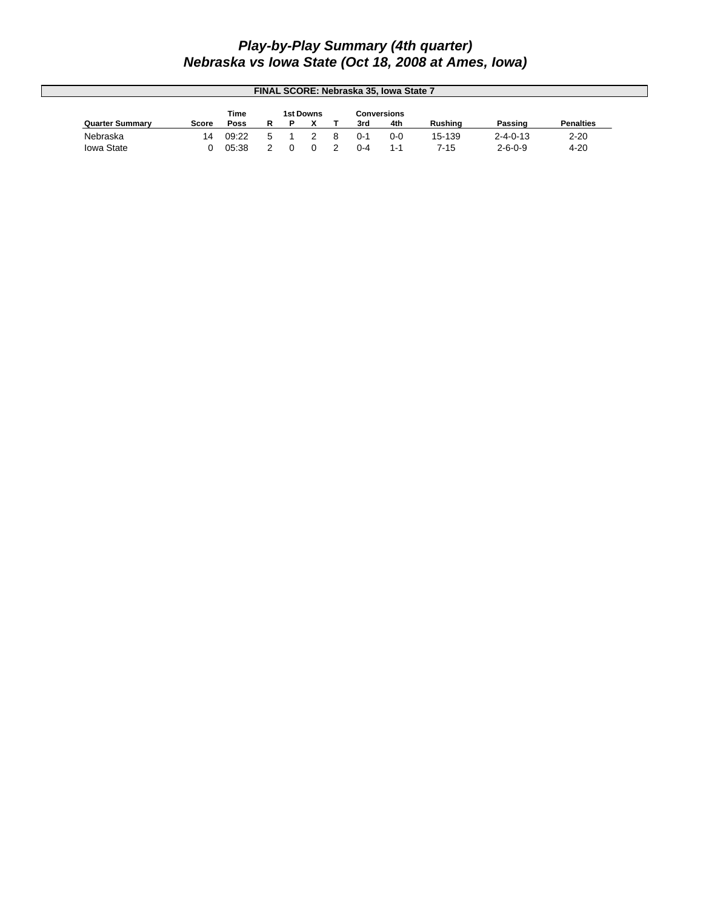### *Play-by-Play Summary (4th quarter) Nebraska vs Iowa State (Oct 18, 2008 at Ames, Iowa)*

| FINAL SCORE: Nebraska 35, Iowa State 7 |       |       |  |  |                  |  |         |             |                |                  |                  |
|----------------------------------------|-------|-------|--|--|------------------|--|---------|-------------|----------------|------------------|------------------|
|                                        |       | Time  |  |  | <b>1st Downs</b> |  |         | Conversions |                |                  |                  |
| <b>Quarter Summary</b>                 | Score | Poss  |  |  |                  |  | 3rd     | 4th         | <b>Rushing</b> | Passing          | <b>Penalties</b> |
| Nebraska                               | 14    | 09:22 |  |  |                  |  | $0 - 1$ | $0 - 0$     | 15-139         | $2 - 4 - 0 - 13$ | $2 - 20$         |
| <b>Iowa State</b>                      |       | 05.38 |  |  |                  |  | 0-4     | 1-1         | 7-15           | $2 - 6 - 0 - 9$  | $4 - 20$         |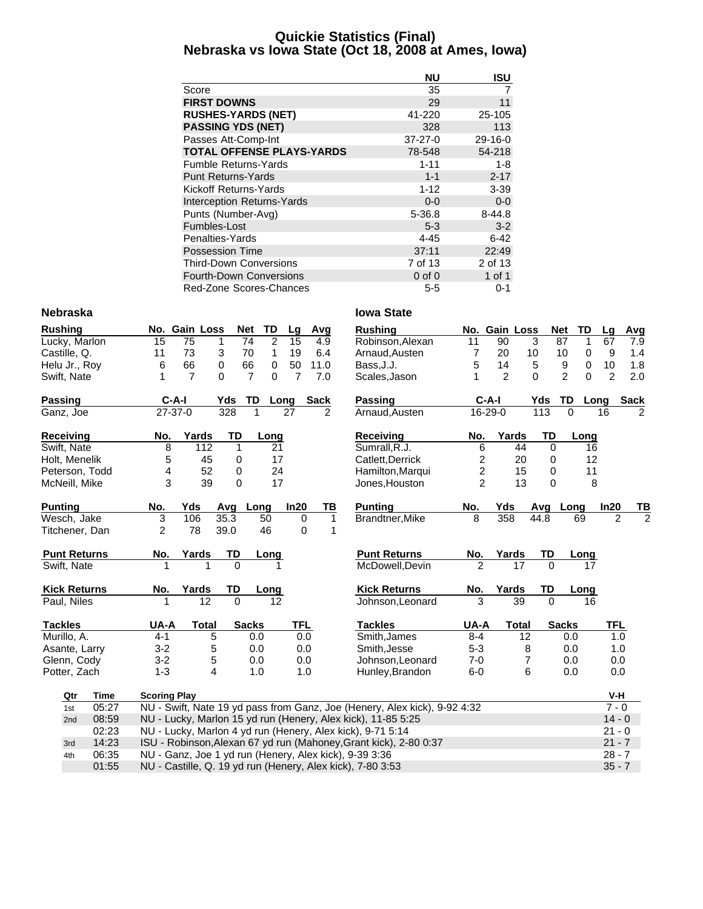### **Quickie Statistics (Final) Nebraska vs Iowa State (Oct 18, 2008 at Ames, Iowa)**

|                                   | <b>NU</b>     | ISU        |
|-----------------------------------|---------------|------------|
| Score                             | 35            | 7          |
| <b>FIRST DOWNS</b>                | 29            | 11         |
| <b>RUSHES-YARDS (NET)</b>         | 41-220        | 25-105     |
| <b>PASSING YDS (NET)</b>          | 328           | 113        |
| Passes Att-Comp-Int               | $37 - 27 - 0$ | $29-16-0$  |
| <b>TOTAL OFFENSE PLAYS-YARDS</b>  | 78-548        | 54-218     |
| <b>Fumble Returns-Yards</b>       | $1 - 11$      | 1-8        |
| <b>Punt Returns-Yards</b>         | $1 - 1$       | $2 - 17$   |
| Kickoff Returns-Yards             | $1 - 12$      | $3 - 39$   |
| <b>Interception Returns-Yards</b> | $0 - 0$       | $0-0$      |
| Punts (Number-Avg)                | 5-36.8        | $8 - 44.8$ |
| Fumbles-Lost                      | $5 - 3$       | $3 - 2$    |
| Penalties-Yards                   | 4-45          | 6-42       |
| Possession Time                   | 37:11         | 22:49      |
| <b>Third-Down Conversions</b>     | 7 of 13       | 2 of 13    |
| <b>Fourth-Down Conversions</b>    | $0$ of $0$    | 1 of 1     |
| Red-Zone Scores-Chances           | $5 - 5$       | 0-1        |

#### **Nebraska Iowa State**

| <b>Rushing</b>      |             |                     | No. Gain Loss   | <b>Net</b>  | TD                                | Lg              | Avg          | <b>Rushing</b>                                                            |                | No. Gain Loss |                | <b>Net</b><br>TD           | Lg             | Avg            |
|---------------------|-------------|---------------------|-----------------|-------------|-----------------------------------|-----------------|--------------|---------------------------------------------------------------------------|----------------|---------------|----------------|----------------------------|----------------|----------------|
| Lucky, Marlon       |             | 15                  | $\overline{75}$ | 1           | $\overline{2}$<br>$\overline{74}$ | $\overline{15}$ | 4.9          | Robinson, Alexan                                                          | 11             | 90            | 3              | 87<br>1                    | 67             | 7.9            |
| Castille, Q.        |             | 11                  | 73              | 3           | $\mathbf{1}$<br>70                | 19              | 6.4          | Arnaud, Austen                                                            | 7              | 20            | 10             | 10<br>0                    | 9              | 1.4            |
| Helu Jr., Roy       |             | 6                   | 66              | 0           | 0<br>66                           | 50              | 11.0         | Bass, J.J.                                                                | 5              | 14            | $\sqrt{5}$     | 0<br>9                     | 10             | 1.8            |
| Swift, Nate         |             | 1                   | $\overline{7}$  | $\Omega$    | $\overline{7}$<br>0               | $\overline{7}$  | 7.0          | Scales, Jason                                                             | 1              | 2             | $\Omega$       | $\overline{2}$<br>$\Omega$ | $\overline{2}$ | 2.0            |
| Passing             |             | $C-A-I$             |                 | Yds         | TD                                | Long            | <b>Sack</b>  | Passing                                                                   |                | $C-A-1$       | Yds            | TD                         | Long           | <b>Sack</b>    |
| Ganz, Joe           |             | $27 - 37 - 0$       |                 | 328         |                                   | 27              | 2            | Arnaud, Austen                                                            |                | 16-29-0       | 113            | $\Omega$                   | 16             |                |
| Receiving           |             | No.                 | Yards           | <b>TD</b>   | Long                              |                 |              | <b>Receiving</b>                                                          | No.            | Yards         | <b>TD</b>      | Long                       |                |                |
| Swift, Nate         |             | 8                   | 112             | 1           | 21                                |                 |              | Sumrall.R.J.                                                              | 6              |               | 44<br>$\Omega$ | 16                         |                |                |
| Holt, Menelik       |             | 5                   | 45              | 0           | 17                                |                 |              | Catlett, Derrick                                                          | 2              |               | 20<br>0        | 12                         |                |                |
| Peterson, Todd      |             | 4                   | 52              | 0           | 24                                |                 |              | Hamilton, Marqui                                                          | 2              |               | 15<br>0        | 11                         |                |                |
| McNeill, Mike       |             | 3                   | 39              | $\mathbf 0$ | 17                                |                 |              | Jones, Houston                                                            | $\overline{2}$ |               | 13<br>$\Omega$ | 8                          |                |                |
| <b>Punting</b>      |             | No.                 | Yds             | Avg         | Long                              | In20            | ΤВ           | <b>Punting</b>                                                            | No.            | Yds           | Avg            | Long                       | In20           | ΤВ             |
| Wesch, Jake         |             | 3                   | 106             | 35.3        | 50                                | 0               | $\mathbf{1}$ | Brandtner, Mike                                                           | 8              | 358           | 44.8           | 69                         | 2              | $\overline{c}$ |
| Titchener, Dan      |             | $\overline{2}$      | 78              | 39.0        | 46                                | 0               | 1            |                                                                           |                |               |                |                            |                |                |
| <b>Punt Returns</b> |             | No.                 | Yards           | TD          | Long                              |                 |              | <b>Punt Returns</b>                                                       | No.            | Yards         | TD             | Long                       |                |                |
| Swift, Nate         |             |                     |                 | $\Omega$    |                                   | 1               |              | McDowell, Devin                                                           | $\mathfrak{p}$ | 17            | $\Omega$       | 17                         |                |                |
| <b>Kick Returns</b> |             | No.                 | Yards           | TD          | Long                              |                 |              | <b>Kick Returns</b>                                                       | No.            | Yards         | TD             | <b>Long</b>                |                |                |
| Paul, Niles         |             |                     | 12              | $\Omega$    | 12                                |                 |              | Johnson, Leonard                                                          | 3              | 39            | $\Omega$       | 16                         |                |                |
| <b>Tackles</b>      |             | UA-A                | <b>Total</b>    |             | <b>Sacks</b>                      | <b>TFL</b>      |              | <b>Tackles</b>                                                            | UA-A           | <b>Total</b>  |                | <b>Sacks</b>               | <b>TFL</b>     |                |
| Murillo, A.         |             | $4 - 1$             | 5               |             | 0.0                               | 0.0             |              | Smith, James                                                              | $8 - 4$        |               | 12             | 0.0                        | 1.0            |                |
| Asante, Larry       |             | $3 - 2$             | 5               |             | 0.0                               | 0.0             |              | Smith, Jesse                                                              | $5 - 3$        |               | 8              | 0.0                        | 1.0            |                |
| Glenn, Cody         |             | $3 - 2$             | 5               |             | 0.0                               | 0.0             |              | Johnson, Leonard                                                          | $7 - 0$        |               | 7              | 0.0                        | 0.0            |                |
| Potter, Zach        |             | $1 - 3$             | 4               |             | 1.0                               | 1.0             |              | Hunley, Brandon                                                           | $6-0$          |               | 6              | 0.0                        | 0.0            |                |
| Qtr                 | <b>Time</b> | <b>Scoring Play</b> |                 |             |                                   |                 |              |                                                                           |                |               |                |                            | V-H            |                |
| 1st                 | 05:27       |                     |                 |             |                                   |                 |              | NU - Swift, Nate 19 yd pass from Ganz, Joe (Henery, Alex kick), 9-92 4:32 |                |               |                |                            | $7 - 0$        |                |
| 2nd                 | 08:59       |                     |                 |             |                                   |                 |              | NU - Lucky, Marlon 15 yd run (Henery, Alex kick), 11-85 5:25              |                |               |                |                            | $14 - 0$       |                |
|                     | 02:23       |                     |                 |             |                                   |                 |              | NU - Lucky, Marlon 4 yd run (Henery, Alex kick), 9-71 5:14                |                |               |                |                            | $21 - 0$       |                |
| 3rd                 | 14:23       |                     |                 |             |                                   |                 |              | ISU - Robinson, Alexan 67 yd run (Mahoney, Grant kick), 2-80 0:37         |                |               |                |                            | $21 - 7$       |                |
|                     |             |                     |                 |             |                                   |                 |              |                                                                           |                |               |                |                            |                |                |

4th 06:35 NU - Ganz, Joe 1 yd run (Henery, Alex kick), 9-39 3:36<br>01:55 NU - Castille, Q. 19 yd run (Henery, Alex kick), 7-80 3:53 01:55 NU - Castille, Q. 19 yd run (Henery, Alex kick), 7-80 3:53